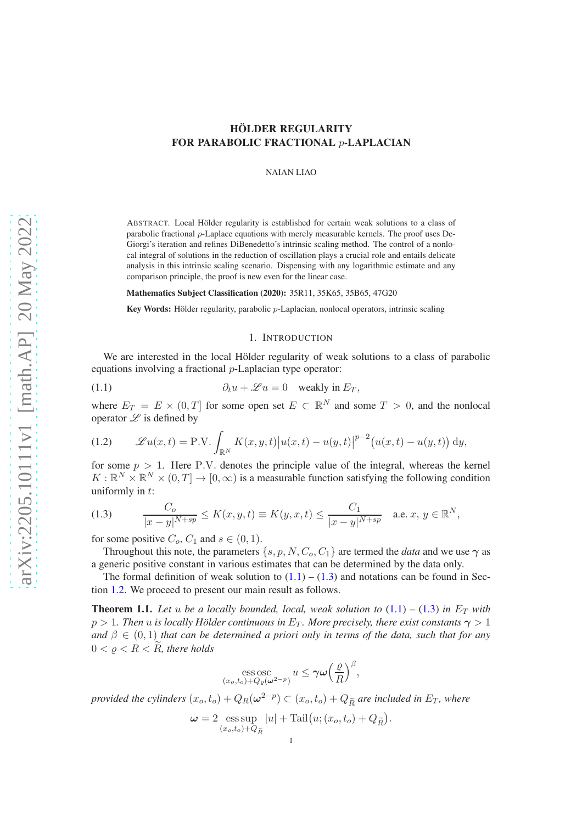NAIAN LIAO

ABSTRACT. Local Hölder regularity is established for certain weak solutions to a class of parabolic fractional p-Laplace equations with merely measurable kernels. The proof uses De-Giorgi's iteration and refines DiBenedetto's intrinsic scaling method. The control of a nonlocal integral of solutions in the reduction of oscillation plays a crucial role and entails delicate analysis in this intrinsic scaling scenario. Dispensing with any logarithmic estimate and any comparison principle, the proof is new even for the linear case.

Mathematics Subject Classification (2020): 35R11, 35K65, 35B65, 47G20

Key Words: Hölder regularity, parabolic  $p$ -Laplacian, nonlocal operators, intrinsic scaling

### <span id="page-0-0"></span>1. INTRODUCTION

We are interested in the local Hölder regularity of weak solutions to a class of parabolic equations involving a fractional p-Laplacian type operator:

(1.1) 
$$
\partial_t u + \mathcal{L} u = 0 \quad \text{weakly in } E_T,
$$

where  $E_T = E \times (0,T]$  for some open set  $E \subset \mathbb{R}^N$  and some  $T > 0$ , and the nonlocal operator  $\mathscr L$  is defined by

<span id="page-0-3"></span>(1.2) 
$$
\mathscr{L}u(x,t) = \text{P.V.} \int_{\mathbb{R}^N} K(x,y,t) |u(x,t) - u(y,t)|^{p-2} (u(x,t) - u(y,t)) \, dy,
$$

for some  $p > 1$ . Here P.V. denotes the principle value of the integral, whereas the kernel  $K: \mathbb{R}^N \times \mathbb{R}^N \times (0,T] \to [0,\infty)$  is a measurable function satisfying the following condition uniformly in  $t$ :

<span id="page-0-1"></span>(1.3) 
$$
\frac{C_o}{|x-y|^{N+sp}} \le K(x, y, t) \equiv K(y, x, t) \le \frac{C_1}{|x-y|^{N+sp}} \text{ a.e. } x, y \in \mathbb{R}^N,
$$

for some positive  $C_o$ ,  $C_1$  and  $s \in (0, 1)$ .

Throughout this note, the parameters  $\{s, p, N, C_0, C_1\}$  are termed the *data* and we use  $\gamma$  as a generic positive constant in various estimates that can be determined by the data only.

The formal definition of weak solution to  $(1.1) - (1.3)$  $(1.1) - (1.3)$  and notations can be found in Section [1.2.](#page-2-0) We proceed to present our main result as follows.

<span id="page-0-2"></span>**Theorem 1.1.** Let u be a locally bounded, local, weak solution to  $(1.1) - (1.3)$  $(1.1) - (1.3)$  $(1.1) - (1.3)$  in  $E_T$  with  $p > 1$ *. Then u is locally Hölder continuous in*  $E_T$ *. More precisely, there exist constants*  $\gamma > 1$ *and*  $\beta \in (0,1)$  *that can be determined a priori only in terms of the data, such that for any*  $0 < \rho < R < R$ , there holds

ess osc  

$$
(x_o, t_o)+Q_\varrho(\omega^{2-p})
$$
  $u \leq \gamma \omega \left(\frac{\varrho}{R}\right)^{\beta}$ ,

*provided the cylinders*  $(x_o, t_o) + Q_R(\omega^{2-p}) \subset (x_o, t_o) + Q_{\widetilde{R}}$  are included in  $E_T$ *, where* 

$$
\omega = 2 \operatorname*{ess\,sup}_{(x_o, t_o) + Q_{\widetilde{R}}} |u| + \operatorname{Tail}(u; (x_o, t_o) + Q_{\widetilde{R}}).
$$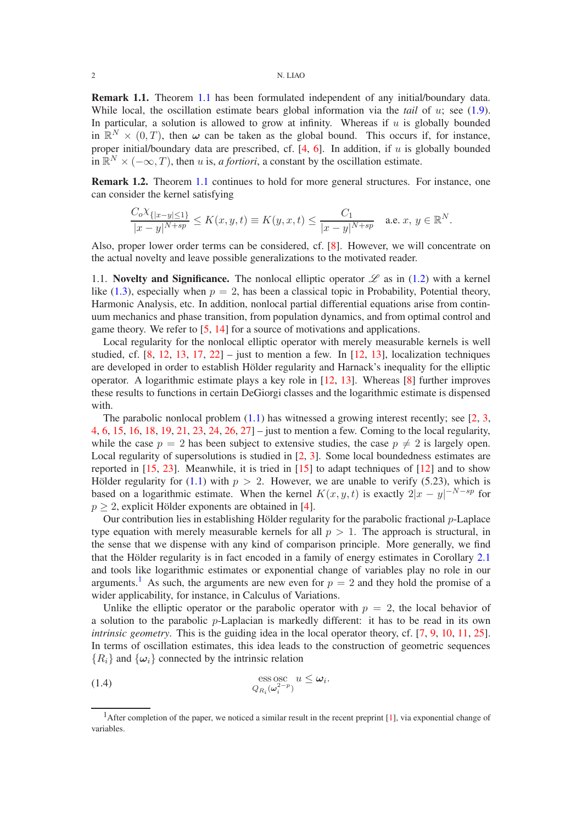Remark 1.1. Theorem [1.1](#page-0-2) has been formulated independent of any initial/boundary data. While local, the oscillation estimate bears global information via the *tail* of u; see [\(1.9\)](#page-3-0). In particular, a solution is allowed to grow at infinity. Whereas if  $u$  is globally bounded in  $\mathbb{R}^N \times (0,T)$ , then  $\omega$  can be taken as the global bound. This occurs if, for instance, proper initial/boundary data are prescribed, cf.  $[4, 6]$  $[4, 6]$  $[4, 6]$ . In addition, if u is globally bounded in  $\mathbb{R}^N \times (-\infty, T)$ , then u is, a fortiori, a constant by the oscillation estimate.

Remark 1.2. Theorem [1.1](#page-0-2) continues to hold for more general structures. For instance, one can consider the kernel satisfying

$$
\frac{C_o\chi_{\{|x-y|\leq 1\}}}{|x-y|^{N+sp}}\leq K(x,y,t)\equiv K(y,x,t)\leq \frac{C_1}{|x-y|^{N+sp}}\quad\text{a.e. }x,\,y\in\mathbb{R}^N.
$$

Also, proper lower order terms can be considered, cf. [\[8\]](#page-24-2). However, we will concentrate on the actual novelty and leave possible generalizations to the motivated reader.

1.1. Novelty and Significance. The nonlocal elliptic operator  $\mathscr L$  as in [\(1.2\)](#page-0-3) with a kernel like [\(1.3\)](#page-0-1), especially when  $p = 2$ , has been a classical topic in Probability, Potential theory, Harmonic Analysis, etc. In addition, nonlocal partial differential equations arise from continuum mechanics and phase transition, from population dynamics, and from optimal control and game theory. We refer to [\[5,](#page-24-3) [14\]](#page-25-0) for a source of motivations and applications.

Local regularity for the nonlocal elliptic operator with merely measurable kernels is well studied, cf.  $[8, 12, 13, 17, 22]$  $[8, 12, 13, 17, 22]$  $[8, 12, 13, 17, 22]$  $[8, 12, 13, 17, 22]$  $[8, 12, 13, 17, 22]$  $[8, 12, 13, 17, 22]$  $[8, 12, 13, 17, 22]$  $[8, 12, 13, 17, 22]$  – just to mention a few. In  $[12, 13]$  $[12, 13]$ , localization techniques are developed in order to establish Hölder regularity and Harnack's inequality for the elliptic operator. A logarithmic estimate plays a key role in [\[12,](#page-25-1) [13\]](#page-25-2). Whereas [\[8\]](#page-24-2) further improves these results to functions in certain DeGiorgi classes and the logarithmic estimate is dispensed with.

The parabolic nonlocal problem  $(1.1)$  has witnessed a growing interest recently; see [\[2,](#page-24-4) [3,](#page-24-5) [4,](#page-24-0) [6,](#page-24-1) [15,](#page-25-5) [16,](#page-25-6) [18,](#page-25-7) [19,](#page-25-8) [21,](#page-25-9) [23,](#page-25-10) [24,](#page-25-11) [26,](#page-25-12) [27\]](#page-25-13) – just to mention a few. Coming to the local regularity, while the case  $p = 2$  has been subject to extensive studies, the case  $p \neq 2$  is largely open. Local regularity of supersolutions is studied in [\[2,](#page-24-4) [3\]](#page-24-5). Some local boundedness estimates are reported in  $[15, 23]$  $[15, 23]$ . Meanwhile, it is tried in  $[15]$  to adapt techniques of  $[12]$  and to show Hölder regularity for [\(1.1\)](#page-0-0) with  $p > 2$ . However, we are unable to verify (5.23), which is based on a logarithmic estimate. When the kernel  $K(x, y, t)$  is exactly  $2|x - y|^{-N - sp}$  for  $p \geq 2$ , explicit Hölder exponents are obtained in [\[4\]](#page-24-0).

Our contribution lies in establishing Hölder regularity for the parabolic fractional  $p$ -Laplace type equation with merely measurable kernels for all  $p > 1$ . The approach is structural, in the sense that we dispense with any kind of comparison principle. More generally, we find that the Hölder regularity is in fact encoded in a family of energy estimates in Corollary [2.1](#page-6-0) and tools like logarithmic estimates or exponential change of variables play no role in our arguments.<sup>[1](#page-1-0)</sup> As such, the arguments are new even for  $p = 2$  and they hold the promise of a wider applicability, for instance, in Calculus of Variations.

Unlike the elliptic operator or the parabolic operator with  $p = 2$ , the local behavior of a solution to the parabolic  $p$ -Laplacian is markedly different: it has to be read in its own *intrinsic geometry*. This is the guiding idea in the local operator theory, cf. [\[7,](#page-24-6) [9,](#page-24-7) [10,](#page-24-8) [11,](#page-25-14) [25\]](#page-25-15). In terms of oscillation estimates, this idea leads to the construction of geometric sequences  ${R_i}$  and  ${\omega_i}$  connected by the intrinsic relation

<span id="page-1-1"></span>(1.4) 
$$
\underset{Q_{R_i}(\omega_i^{2-p})}{\text{ess osc}} u \leq \omega_i.
$$

<span id="page-1-0"></span><sup>&</sup>lt;sup>1</sup>After completion of the paper, we noticed a similar result in the recent preprint  $[1]$ , via exponential change of variables.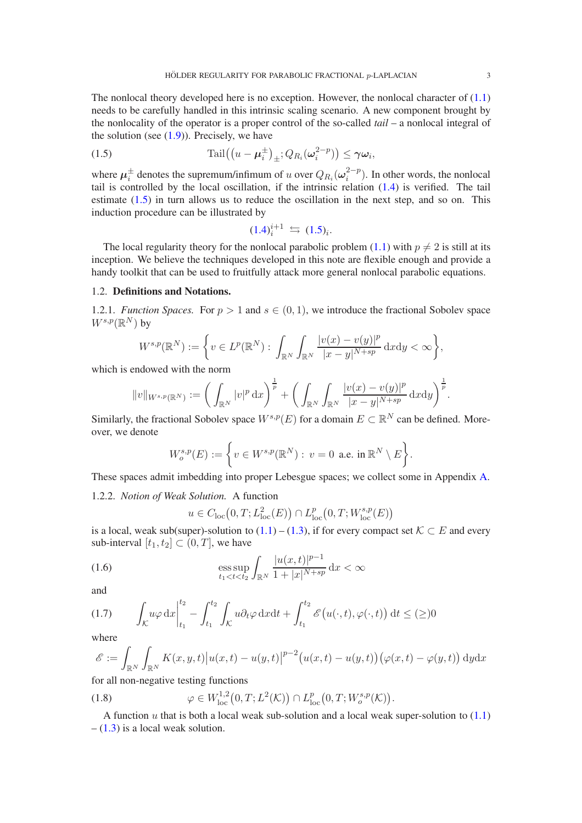The nonlocal theory developed here is no exception. However, the nonlocal character of  $(1.1)$ needs to be carefully handled in this intrinsic scaling scenario. A new component brought by the nonlocality of the operator is a proper control of the so-called *tail* – a nonlocal integral of the solution (see  $(1.9)$ ). Precisely, we have

(1.5) 
$$
\operatorname{Tail}\left(\left(u-\boldsymbol{\mu}_i^{\pm}\right)_{\pm};Q_{R_i}(\boldsymbol{\omega}_i^{2-p})\right)\leq \boldsymbol{\gamma}\boldsymbol{\omega}_i,
$$

where  $\mu_i^\pm$  denotes the supremum/infimum of u over  $Q_{R_i}(\omega_i^{2-p})$  $i^{2-p}$ ). In other words, the nonlocal tail is controlled by the local oscillation, if the intrinsic relation [\(1.4\)](#page-1-1) is verified. The tail estimate [\(1.5\)](#page-2-1) in turn allows us to reduce the oscillation in the next step, and so on. This induction procedure can be illustrated by

<span id="page-2-1"></span>
$$
(1.4)^{i+1}_{i} \leftrightharpoons (1.5)_{i}.
$$

The local regularity theory for the nonlocal parabolic problem [\(1.1\)](#page-0-0) with  $p \neq 2$  is still at its inception. We believe the techniques developed in this note are flexible enough and provide a handy toolkit that can be used to fruitfully attack more general nonlocal parabolic equations.

# <span id="page-2-0"></span>1.2. Definitions and Notations.

1.2.1. *Function Spaces.* For  $p > 1$  and  $s \in (0, 1)$ , we introduce the fractional Sobolev space  $W^{s,p}(\mathbb{R}^N)$  by

$$
W^{s,p}(\mathbb{R}^N):=\bigg\{v\in L^p(\mathbb{R}^N):\int_{\mathbb{R}^N}\int_{\mathbb{R}^N}\frac{|v(x)-v(y)|^p}{|x-y|^{N+sp}}\,\mathrm{d}x\mathrm{d}y<\infty\bigg\},
$$

which is endowed with the norm

$$
||v||_{W^{s,p}(\mathbb{R}^N)} := \bigg( \int_{\mathbb{R}^N} |v|^p \, dx \bigg)^{\frac{1}{p}} + \bigg( \int_{\mathbb{R}^N} \int_{\mathbb{R}^N} \frac{|v(x) - v(y)|^p}{|x - y|^{N + sp}} \, dxdy \bigg)^{\frac{1}{p}}.
$$

Similarly, the fractional Sobolev space  $W^{s,p}(E)$  for a domain  $E \subset \mathbb{R}^N$  can be defined. Moreover, we denote

$$
W^{s,p}_o(E):=\bigg\{v\in W^{s,p}(\mathbb{R}^N):\,v=0\,\text{ a.e. in }\mathbb{R}^N\setminus E\bigg\}.
$$

These spaces admit imbedding into proper Lebesgue spaces; we collect some in Appendix [A.](#page-20-0)

1.2.2. *Notion of Weak Solution.* A function

<span id="page-2-4"></span>
$$
u \in C_{\text{loc}}(0,T; L^2_{\text{loc}}(E)) \cap L^p_{\text{loc}}(0,T; W^{s,p}_{\text{loc}}(E))
$$

is a local, weak sub(super)-solution to  $(1.1) - (1.3)$  $(1.1) - (1.3)$ , if for every compact set  $K \subset E$  and every sub-interval  $[t_1, t_2] \subset (0, T]$ , we have

(1.6) 
$$
\underset{t_1 < t < t_2}{\text{ess sup}} \int_{\mathbb{R}^N} \frac{|u(x, t)|^{p-1}}{1 + |x|^{N+sp}} \, \mathrm{d}x < \infty
$$

and

<span id="page-2-3"></span>
$$
(1.7) \qquad \int_{\mathcal{K}} u\varphi \,dx \Big|_{t_1}^{t_2} - \int_{t_1}^{t_2} \int_{\mathcal{K}} u\partial_t\varphi \,dxdt + \int_{t_1}^{t_2} \mathcal{E}\big(u(\cdot,t),\varphi(\cdot,t)\big) \,dt \leq (\geq)0
$$

where

$$
\mathscr{E} := \int_{\mathbb{R}^N} \int_{\mathbb{R}^N} K(x, y, t) \left| u(x, t) - u(y, t) \right|^{p-2} \left( u(x, t) - u(y, t) \right) \left( \varphi(x, t) - \varphi(y, t) \right) dy dx
$$

for all non-negative testing functions

<span id="page-2-2"></span>(1.8) 
$$
\varphi \in W^{1,2}_{loc}(0,T;L^2(\mathcal{K})) \cap L^p_{loc}(0,T;W^{s,p}_o(\mathcal{K})).
$$

A function u that is both a local weak sub-solution and a local weak super-solution to  $(1.1)$  $- (1.3)$  $- (1.3)$  is a local weak solution.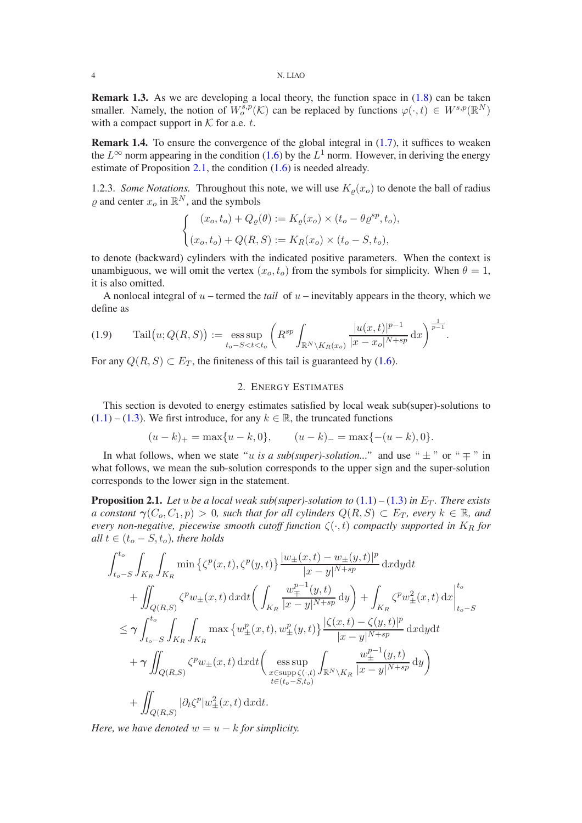**Remark 1.3.** As we are developing a local theory, the function space in  $(1.8)$  can be taken smaller. Namely, the notion of  $W_0^{s,p}(\mathcal{K})$  can be replaced by functions  $\varphi(\cdot,t) \in W^{s,p}(\mathbb{R}^N)$ with a compact support in  $K$  for a.e. t.

**Remark 1.4.** To ensure the convergence of the global integral in  $(1.7)$ , it suffices to weaken the  $L^{\infty}$  norm appearing in the condition [\(1.6\)](#page-2-4) by the  $L^1$  norm. However, in deriving the energy estimate of Proposition [2.1,](#page-3-1) the condition [\(1.6\)](#page-2-4) is needed already.

1.2.3. *Some Notations*. Throughout this note, we will use  $K_{\rho}(x_o)$  to denote the ball of radius  $\varrho$  and center  $x_o$  in  $\mathbb{R}^N$ , and the symbols

$$
\begin{cases}\n(x_o, t_o) + Q_\varrho(\theta) := K_\varrho(x_o) \times (t_o - \theta \varrho^{sp}, t_o), \\
(x_o, t_o) + Q(R, S) := K_R(x_o) \times (t_o - S, t_o),\n\end{cases}
$$

to denote (backward) cylinders with the indicated positive parameters. When the context is unambiguous, we will omit the vertex  $(x_o, t_o)$  from the symbols for simplicity. When  $\theta = 1$ , it is also omitted.

A nonlocal integral of  $u$  – termed the *tail* of  $u$  – inevitably appears in the theory, which we define as

<span id="page-3-0"></span>
$$
(1.9) \quad \text{Tail}(u; Q(R, S)) := \underset{t_o-S
$$

For any  $Q(R, S) \subset E_T$ , the finiteness of this tail is guaranteed by [\(1.6\)](#page-2-4).

# 2. ENERGY ESTIMATES

This section is devoted to energy estimates satisfied by local weak sub(super)-solutions to  $(1.1) - (1.3)$  $(1.1) - (1.3)$  $(1.1) - (1.3)$ . We first introduce, for any  $k \in \mathbb{R}$ , the truncated functions

$$
(u-k)_{+} = \max\{u-k,0\},
$$
  $(u-k)_{-} = \max\{-(u-k),0\}.$ 

In what follows, when we state *"u is a sub(super)-solution*..." and use " $\pm$ " or " $\mp$ " in what follows, we mean the sub-solution corresponds to the upper sign and the super-solution corresponds to the lower sign in the statement.

<span id="page-3-1"></span>**Proposition 2.1.** Let u be a local weak sub(super)-solution to  $(1.1) - (1.3)$  $(1.1) - (1.3)$  $(1.1) - (1.3)$  in  $E_T$ . There exists *a constant*  $\gamma(C_o, C_1, p) > 0$ *, such that for all cylinders*  $Q(R, S) \subset E_T$ *, every*  $k \in \mathbb{R}$ *, and every non-negative, piecewise smooth cutoff function*  $\zeta(\cdot,t)$  *compactly supported in*  $K_R$  *for all*  $t \in (t_o - S, t_o)$ *, there holds* 

$$
\int_{t_o-S}^{t_o} \int_{K_R} \int_{K_R} \min \left\{ \zeta^p(x,t), \zeta^p(y,t) \right\} \frac{|w_{\pm}(x,t) - w_{\pm}(y,t)|^p}{|x - y|^{N+sp}} dx dy dt \n+ \iint_{Q(R,S)} \zeta^p w_{\pm}(x,t) dx dt \left( \int_{K_R} \frac{w_{\mp}^{p-1}(y,t)}{|x - y|^{N+sp}} dy \right) + \int_{K_R} \zeta^p w_{\pm}^2(x,t) dx \Big|_{t_o-S}^{t_o} \n\leq \gamma \int_{t_o-S}^{t_o} \int_{K_R} \int_{K_R} \max \left\{ w_{\pm}^p(x,t), w_{\pm}^p(y,t) \right\} \frac{|\zeta(x,t) - \zeta(y,t)|^p}{|x - y|^{N+sp}} dx dy dt \n+ \gamma \iint_{Q(R,S)} \zeta^p w_{\pm}(x,t) dx dt \left( \underset{x \in \text{supp} \zeta(\cdot,t)}{\text{ess sup}} \int_{\mathbb{R}^N \setminus K_R} \frac{w_{\pm}^{p-1}(y,t)}{|x - y|^{N+sp}} dy \right) \n+ \iint_{Q(R,S)} |\partial_t \zeta^p| w_{\pm}^2(x,t) dx dt.
$$

*Here, we have denoted*  $w = u - k$  *for simplicity.*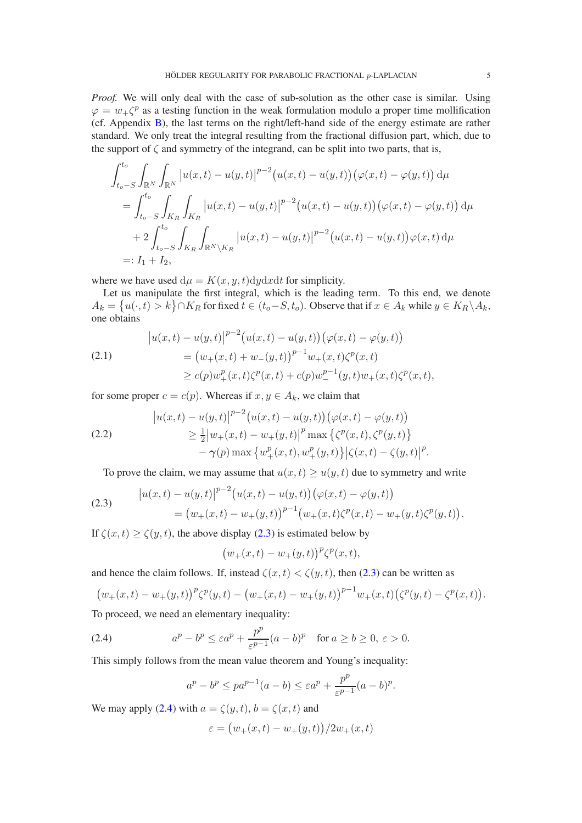*Proof.* We will only deal with the case of sub-solution as the other case is similar. Using  $\varphi = w_+ \zeta^p$  as a testing function in the weak formulation modulo a proper time mollification (cf. Appendix [B\)](#page-22-0), the last terms on the right/left-hand side of the energy estimate are rather standard. We only treat the integral resulting from the fractional diffusion part, which, due to the support of  $\zeta$  and symmetry of the integrand, can be split into two parts, that is,

$$
\int_{t_o-S}^{t_o} \int_{\mathbb{R}^N} \int_{\mathbb{R}^N} |u(x,t) - u(y,t)|^{p-2} (u(x,t) - u(y,t)) (\varphi(x,t) - \varphi(y,t)) d\mu
$$
  
= 
$$
\int_{t_o-S}^{t_o} \int_{K_R} \int_{K_R} |u(x,t) - u(y,t)|^{p-2} (u(x,t) - u(y,t)) (\varphi(x,t) - \varphi(y,t)) d\mu
$$
  
+ 
$$
2 \int_{t_o-S}^{t_o} \int_{K_R} \int_{\mathbb{R}^N \setminus K_R} |u(x,t) - u(y,t)|^{p-2} (u(x,t) - u(y,t)) \varphi(x,t) d\mu
$$
  
=:  $I_1 + I_2$ ,

where we have used  $d\mu = K(x, y, t)dydxdt$  for simplicity.

Let us manipulate the first integral, which is the leading term. To this end, we denote  $A_k = \{u(\cdot,t) > k\} \cap K_R$  for fixed  $t \in (t_o - S, t_o)$ . Observe that if  $x \in A_k$  while  $y \in K_R \backslash A_k$ , one obtains

<span id="page-4-3"></span>(2.1)  
\n
$$
\begin{aligned}\n\left|u(x,t) - u(y,t)\right|^{p-2} \left(u(x,t) - u(y,t)\right) \left(\varphi(x,t) - \varphi(y,t)\right) \\
&= \left(w_+(x,t) + w_-(y,t)\right)^{p-1} w_+(x,t) \zeta^p(x,t) \\
&\ge c(p) w_+^p(x,t) \zeta^p(x,t) + c(p) w_-^{p-1}(y,t) w_+(x,t) \zeta^p(x,t),\n\end{aligned}
$$

for some proper  $c = c(p)$ . Whereas if  $x, y \in A_k$ , we claim that

<span id="page-4-2"></span>(2.2)  
\n
$$
\begin{aligned}\n|u(x,t) - u(y,t)|^{p-2} \big( u(x,t) - u(y,t) \big) \big( \varphi(x,t) - \varphi(y,t) \big) \\
&\geq \frac{1}{2} |w_+(x,t) - w_+(y,t)|^p \max \left\{ \zeta^p(x,t), \zeta^p(y,t) \right\} \\
&\quad - \gamma(p) \max \left\{ w_+^p(x,t), w_+^p(y,t) \right\} \big| \zeta(x,t) - \zeta(y,t) \big|^p.\n\end{aligned}
$$

<span id="page-4-0"></span>To prove the claim, we may assume that  $u(x, t) \ge u(y, t)$  due to symmetry and write

(2.3) 
$$
\begin{aligned} \left|u(x,t)-u(y,t)\right|^{p-2} \left(u(x,t)-u(y,t)\right) \left(\varphi(x,t)-\varphi(y,t)\right) \\ &= \left(w_+(x,t)-w_+(y,t)\right)^{p-1} \left(w_+(x,t)\zeta^p(x,t)-w_+(y,t)\zeta^p(y,t)\right). \end{aligned}
$$

If  $\zeta(x, t) \ge \zeta(y, t)$ , the above display [\(2.3\)](#page-4-0) is estimated below by

$$
\big(w_+(x,t)-w_+(y,t)\big)^p\zeta^p(x,t),
$$

and hence the claim follows. If, instead  $\zeta(x, t) < \zeta(y, t)$ , then [\(2.3\)](#page-4-0) can be written as

$$
(w_{+}(x,t)-w_{+}(y,t))^{p}\zeta^{p}(y,t)-\big(w_{+}(x,t)-w_{+}(y,t)\big)^{p-1}w_{+}(x,t)\big(\zeta^{p}(y,t)-\zeta^{p}(x,t)\big).
$$

To proceed, we need an elementary inequality:

(2.4) 
$$
a^p - b^p \le \varepsilon a^p + \frac{p^p}{\varepsilon^{p-1}} (a-b)^p \quad \text{for } a \ge b \ge 0, \ \varepsilon > 0.
$$

This simply follows from the mean value theorem and Young's inequality:

<span id="page-4-1"></span>
$$
a^p - b^p \le pa^{p-1}(a-b) \le \varepsilon a^p + \frac{p^p}{\varepsilon^{p-1}}(a-b)^p.
$$

We may apply [\(2.4\)](#page-4-1) with  $a = \zeta(y, t)$ ,  $b = \zeta(x, t)$  and

$$
\varepsilon = (w_+(x,t) - w_+(y,t))/2w_+(x,t)
$$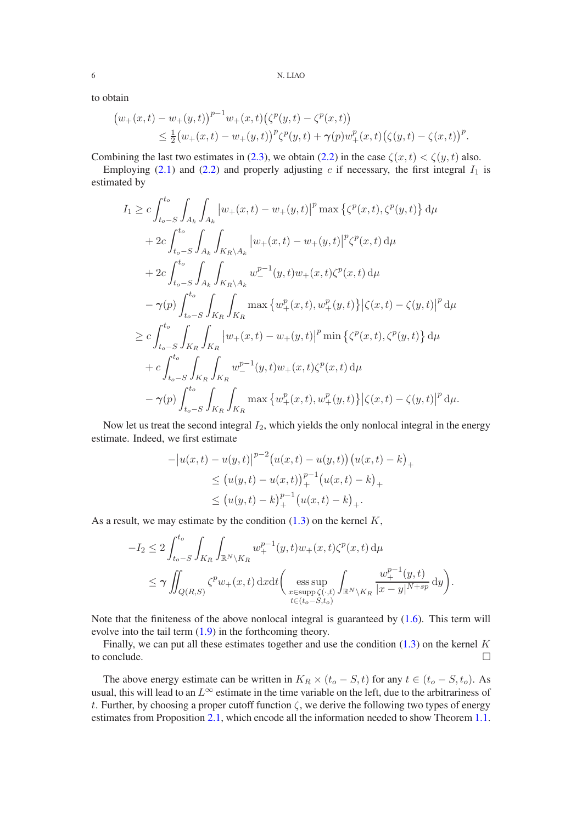to obtain

$$
(w_{+}(x,t)-w_{+}(y,t))^{p-1}w_{+}(x,t)(\zeta^{p}(y,t)-\zeta^{p}(x,t))\leq \frac{1}{2}(w_{+}(x,t)-w_{+}(y,t))^{p}\zeta^{p}(y,t)+\gamma(p)w_{+}^{p}(x,t)(\zeta(y,t)-\zeta(x,t))^{p}.
$$

Combining the last two estimates in [\(2.3\)](#page-4-0), we obtain [\(2.2\)](#page-4-2) in the case  $\zeta(x, t) < \zeta(y, t)$  also.

Employing [\(2.1\)](#page-4-3) and [\(2.2\)](#page-4-2) and properly adjusting c if necessary, the first integral  $I_1$  is estimated by

$$
I_{1} \geq c \int_{t_{o}-S}^{t_{o}} \int_{A_{k}} \int_{A_{k}} |w_{+}(x,t) - w_{+}(y,t)|^{p} \max \left\{ \zeta^{p}(x,t), \zeta^{p}(y,t) \right\} d\mu
$$
  
+ 
$$
2c \int_{t_{o}-S}^{t_{o}} \int_{A_{k}} \int_{K_{R} \setminus A_{k}} |w_{+}(x,t) - w_{+}(y,t)|^{p} \zeta^{p}(x,t) d\mu
$$
  
+ 
$$
2c \int_{t_{o}-S}^{t_{o}} \int_{A_{k}} \int_{K_{R} \setminus A_{k}} w_{-}^{p-1}(y,t) w_{+}(x,t) \zeta^{p}(x,t) d\mu
$$
  
- 
$$
\gamma(p) \int_{t_{o}-S}^{t_{o}} \int_{K_{R}} \int_{K_{R}} \max \left\{ w_{+}^{p}(x,t), w_{+}^{p}(y,t) \right\} \left| \zeta(x,t) - \zeta(y,t) \right|^{p} d\mu
$$
  

$$
\geq c \int_{t_{o}-S}^{t_{o}} \int_{K_{R}} \int_{K_{R}} |w_{+}(x,t) - w_{+}(y,t)|^{p} \min \left\{ \zeta^{p}(x,t), \zeta^{p}(y,t) \right\} d\mu
$$
  
+ 
$$
c \int_{t_{o}-S}^{t_{o}} \int_{K_{R}} \int_{K_{R}} w_{-}^{p-1}(y,t) w_{+}(x,t) \zeta^{p}(x,t) d\mu
$$
  
- 
$$
\gamma(p) \int_{t_{o}-S}^{t_{o}} \int_{K_{R}} \int_{K_{R}} \max \left\{ w_{+}^{p}(x,t), w_{+}^{p}(y,t) \right\} \left| \zeta(x,t) - \zeta(y,t) \right|^{p} d\mu.
$$

Now let us treat the second integral  $I_2$ , which yields the only nonlocal integral in the energy estimate. Indeed, we first estimate

$$
-|u(x,t) - u(y,t)|^{p-2} (u(x,t) - u(y,t)) (u(x,t) - k)_{+}
$$
  
\n
$$
\leq (u(y,t) - u(x,t))_{+}^{p-1} (u(x,t) - k)_{+}
$$
  
\n
$$
\leq (u(y,t) - k)_{+}^{p-1} (u(x,t) - k)_{+}.
$$

As a result, we may estimate by the condition  $(1.3)$  on the kernel  $K$ ,

$$
-I_2 \le 2 \int_{t_o-S}^{t_o} \int_{K_R} \int_{\mathbb{R}^N \backslash K_R} w_+^{p-1}(y,t) w_+(x,t) \zeta^p(x,t) d\mu
$$
  

$$
\le \gamma \iint_{Q(R,S)} \zeta^p w_+(x,t) dx dt \Big( \underset{\substack{x \in \text{supp} \zeta(\cdot,t) \\ t \in (t_o-S,t_o)}}{\text{ess sup}} \int_{\mathbb{R}^N \backslash K_R} \frac{w_+^{p-1}(y,t)}{|x-y|^{N+sp}} dy \Big).
$$

Note that the finiteness of the above nonlocal integral is guaranteed by  $(1.6)$ . This term will evolve into the tail term [\(1.9\)](#page-3-0) in the forthcoming theory.

Finally, we can put all these estimates together and use the condition  $(1.3)$  on the kernel K to conclude.

The above energy estimate can be written in  $K_R \times (t_o - S, t)$  for any  $t \in (t_o - S, t_o)$ . As usual, this will lead to an  $L^{\infty}$  estimate in the time variable on the left, due to the arbitrariness of t. Further, by choosing a proper cutoff function  $\zeta$ , we derive the following two types of energy estimates from Proposition [2.1,](#page-3-1) which encode all the information needed to show Theorem [1.1.](#page-0-2)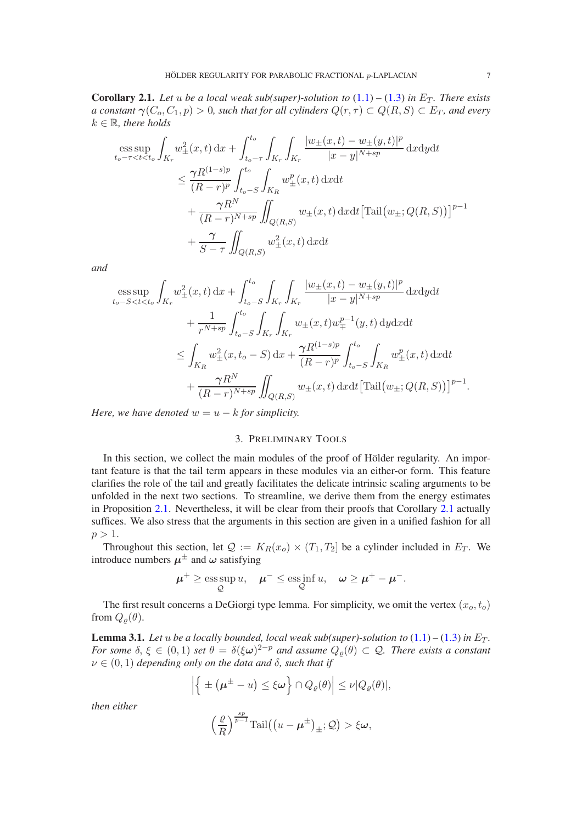<span id="page-6-0"></span>**Corollary 2.1.** Let u be a local weak sub(super)-solution to  $(1.1) - (1.3)$  $(1.1) - (1.3)$  $(1.1) - (1.3)$  in  $E_T$ . There exists *a constant*  $\gamma(C_o, C_1, p) > 0$ , such that for all cylinders  $Q(r, \tau) \subset Q(R, S) \subset E_T$ , and every  $k \in \mathbb{R}$ , there holds

$$
\begin{split} \mathop{\mathrm{ess\,sup}}_{t_o - \tau < t < t_o} \int_{K_r} w_{\pm}^2(x, t) \, \mathrm{d}x + \int_{t_o - \tau}^{t_o} \int_{K_r} \int_{K_r} \frac{|w_{\pm}(x, t) - w_{\pm}(y, t)|^p}{|x - y|^{N + sp}} \, \mathrm{d}x \mathrm{d}y \mathrm{d}t \\ &\leq \frac{\gamma R^{(1 - s)p}}{(R - r)^p} \int_{t_o - S}^{t_o} \int_{K_R} w_{\pm}^p(x, t) \, \mathrm{d}x \mathrm{d}t \\ &+ \frac{\gamma R^N}{(R - r)^{N + sp}} \iint_{Q(R, S)} w_{\pm}(x, t) \, \mathrm{d}x \mathrm{d}t \left[ \mathrm{Tail}(w_{\pm}; Q(R, S)) \right]^{p - 1} \\ &+ \frac{\gamma}{S - \tau} \iint_{Q(R, S)} w_{\pm}^2(x, t) \, \mathrm{d}x \mathrm{d}t \end{split}
$$

*and*

$$
\begin{split} \mathop{\mathrm{ess\,sup}}_{t_{o}-S
$$

<span id="page-6-2"></span>*Here, we have denoted*  $w = u - k$  *for simplicity.* 

## 3. PRELIMINARY TOOLS

In this section, we collect the main modules of the proof of Hölder regularity. An important feature is that the tail term appears in these modules via an either-or form. This feature clarifies the role of the tail and greatly facilitates the delicate intrinsic scaling arguments to be unfolded in the next two sections. To streamline, we derive them from the energy estimates in Proposition [2.1.](#page-3-1) Nevertheless, it will be clear from their proofs that Corollary [2.1](#page-6-0) actually suffices. We also stress that the arguments in this section are given in a unified fashion for all  $p > 1$ .

Throughout this section, let  $\mathcal{Q} := K_R(x_o) \times (T_1, T_2]$  be a cylinder included in  $E_T$ . We introduce numbers  $\mu^{\pm}$  and  $\omega$  satisfying

$$
\mu^+ \ge \operatorname*{ess\,sup}_{\mathcal{Q}} u, \quad \mu^- \le \operatorname*{ess\,inf}_{\mathcal{Q}} u, \quad \omega \ge \mu^+ - \mu^-.
$$

The first result concerns a DeGiorgi type lemma. For simplicity, we omit the vertex  $(x_0, t_0)$ from  $Q_{\rho}(\theta)$ .

<span id="page-6-1"></span>**Lemma 3.1.** *Let* u *be a locally bounded, local weak sub(super)-solution to*  $(1.1) - (1.3)$  $(1.1) - (1.3)$  $(1.1) - (1.3)$  *in*  $E_T$ *. For some*  $\delta, \xi \in (0,1)$  *set*  $\theta = \delta(\xi \omega)^{2-p}$  *and assume*  $Q_{\varrho}(\theta) \subset \mathcal{Q}$ *. There exists a constant*  $\nu \in (0, 1)$  *depending only on the data and*  $\delta$ *, such that if* 

$$
\left|\left\{\pm(\mu^{\pm}-u)\leq\xi\omega\right\}\cap Q_{\varrho}(\theta)\right|\leq\nu|Q_{\varrho}(\theta)|,
$$

*then either*

$$
\left(\frac{\varrho}{R}\right)^{\frac{sp}{p-1}}\mathrm{Tail}\big(\big(u-\boldsymbol{\mu}^{\pm}\big)_{\pm};\mathcal{Q}\big)>\xi\boldsymbol{\omega},
$$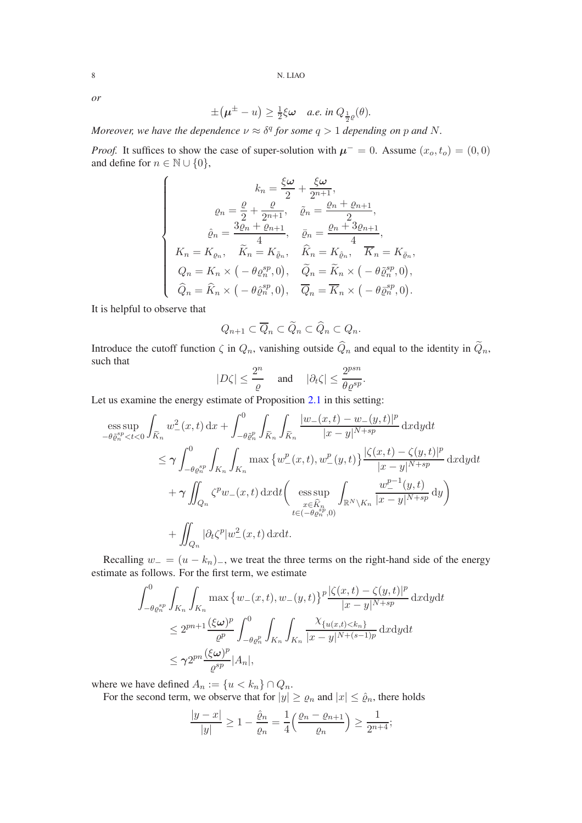*or*

$$
\pm(\boldsymbol{\mu}^{\pm}-u)\geq \tfrac{1}{2}\xi\boldsymbol{\omega}\quad a.e.\ in\ Q_{\frac{1}{2}\varrho}(\theta).
$$

*Moreover, we have the dependence*  $\nu \approx \delta^q$  for some  $q > 1$  *depending on* p and N.

*Proof.* It suffices to show the case of super-solution with  $\mu^- = 0$ . Assume  $(x_0, t_0) = (0, 0)$ and define for  $n \in \mathbb{N} \cup \{0\},\$ 

$$
\begin{cases}\n\qquad k_n = \frac{\xi \omega}{2} + \frac{\xi \omega}{2^{n+1}}, \\
\qquad \varrho_n = \frac{\varrho}{2} + \frac{\varrho}{2^{n+1}}, \quad \tilde{\varrho}_n = \frac{\varrho_n + \varrho_{n+1}}{2}, \\
\hat{\varrho}_n = \frac{3\varrho_n + \varrho_{n+1}}{4}, \quad \bar{\varrho}_n = \frac{\varrho_n + 3\varrho_{n+1}}{4}, \\
K_n = K_{\varrho_n}, \quad \widetilde{K}_n = K_{\tilde{\varrho}_n}, \quad \widehat{K}_n = K_{\hat{\varrho}_n}, \quad \overline{K}_n = K_{\bar{\varrho}_n}, \\
Q_n = K_n \times \left( -\theta \varrho_n^{sp}, 0 \right), \quad \widetilde{Q}_n = \widetilde{K}_n \times \left( -\theta \widetilde{\varrho}_n^{sp}, 0 \right), \\
\widehat{Q}_n = \widehat{K}_n \times \left( -\theta \widehat{\varrho}_n^{sp}, 0 \right), \quad \overline{Q}_n = \overline{K}_n \times \left( -\theta \widetilde{\varrho}_n^{sp}, 0 \right).\n\end{cases}
$$

It is helpful to observe that

$$
Q_{n+1} \subset \overline{Q}_n \subset \widetilde{Q}_n \subset \widehat{Q}_n \subset Q_n.
$$

Introduce the cutoff function  $\zeta$  in  $Q_n$ , vanishing outside  $\widehat{Q}_n$  and equal to the identity in  $\widetilde{Q}_n$ , such that

$$
|D\zeta| \le \frac{2^n}{\varrho} \quad \text{ and } \quad |\partial_t \zeta| \le \frac{2^{psn}}{\theta \varrho^{sp}}.
$$

Let us examine the energy estimate of Proposition [2.1](#page-3-1) in this setting:

$$
\begin{split}\n&\text{ess}\sup_{-\theta\tilde{\varrho}_{n}^{sp}<\t\lt 0}\int_{\widetilde{K}_{n}}w_{-}^{2}(x,t)\,\mathrm{d}x + \int_{-\theta\tilde{\varrho}_{n}^{p}}^{0}\int_{\widetilde{K}_{n}}\int_{\widetilde{K}_{n}}\frac{|w_{-}(x,t)-w_{-}(y,t)|^{p}}{|x-y|^{N+sp}}\,\mathrm{d}x\mathrm{d}y\mathrm{d}t \\
&\leq \gamma \int_{-\theta\varrho_{n}^{sp}}^{0}\int_{K_{n}}\int_{K_{n}}\max\left\{w_{-}^{p}(x,t),w_{-}^{p}(y,t)\right\}\frac{|\zeta(x,t)-\zeta(y,t)|^{p}}{|x-y|^{N+sp}}\,\mathrm{d}x\mathrm{d}y\mathrm{d}t \\
&+\gamma \iint_{Q_{n}}\zeta^{p}w_{-}(x,t)\,\mathrm{d}x\mathrm{d}t\bigg(\underset{x\in \widehat{K}_{n}^{n}}{\mathrm{ess}\sup_{x\in \widehat{K}_{n}^{p}}}\int_{\mathbb{R}^{N}\setminus K_{n}}\frac{w_{-}^{p-1}(y,t)}{|x-y|^{N+sp}}\,\mathrm{d}y\bigg) \\
&+\iint_{Q_{n}}|\partial_{t}\zeta^{p}|w_{-}^{2}(x,t)\,\mathrm{d}x\mathrm{d}t.\n\end{split}
$$

Recalling  $w_ - = (u - k_n)$ , we treat the three terms on the right-hand side of the energy estimate as follows. For the first term, we estimate

$$
\int_{-\theta \varrho_n^{sp}}^0 \int_{K_n} \int_{K_n} \max \left\{ w_-(x,t), w_-(y,t) \right\}^p \frac{|\zeta(x,t) - \zeta(y,t)|^p}{|x - y|^{N+sp}} dx dy dt
$$
  

$$
\leq 2^{pn+1} \frac{(\xi \omega)^p}{\varrho^p} \int_{-\theta \varrho_n^p}^0 \int_{K_n} \int_{K_n} \frac{\chi_{\{u(x,t) < k_n\}}}{|x - y|^{N+(s-1)p}} dx dy dt
$$
  

$$
\leq \gamma 2^{pn} \frac{(\xi \omega)^p}{\varrho^{sp}} |A_n|,
$$

where we have defined  $A_n := \{u < k_n\} \cap Q_n$ .

For the second term, we observe that for  $|y| \ge \varrho_n$  and  $|x| \le \hat{\varrho}_n$ , there holds

$$
\frac{|y-x|}{|y|} \ge 1 - \frac{\hat{\varrho}_n}{\varrho_n} = \frac{1}{4} \left( \frac{\varrho_n - \varrho_{n+1}}{\varrho_n} \right) \ge \frac{1}{2^{n+4}};
$$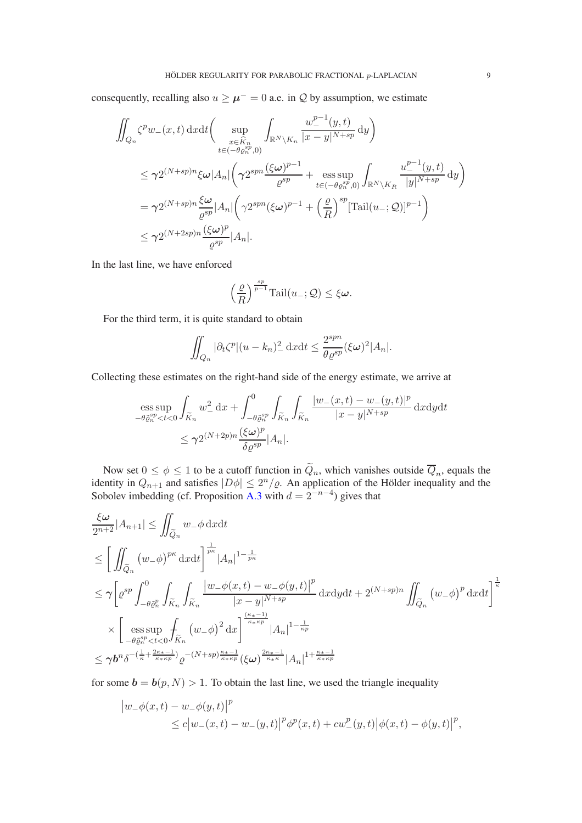consequently, recalling also  $u \ge \mu^{-} = 0$  a.e. in Q by assumption, we estimate

$$
\iint_{Q_n} \zeta^p w_-(x,t) dxdt \Big( \sup_{\substack{x \in \hat{K}_n \\ t \in (-\theta \varrho_n^{sp}, 0)}} \int_{\mathbb{R}^N \backslash K_n} \frac{w_-^{p-1}(y,t)}{|x - y|^{N+sp}} dy \Big)
$$
\n
$$
\leq \gamma 2^{(N+sp)n} \xi \omega |A_n| \Big( \gamma 2^{spn} \frac{(\xi \omega)^{p-1}}{\varrho^{sp}} + \operatorname*{ess} \sup_{t \in (-\theta \varrho_n^{sp}, 0)} \int_{\mathbb{R}^N \backslash K_n} \frac{w_-^{p-1}(y,t)}{|y|^{N+sp}} dy \Big)
$$
\n
$$
= \gamma 2^{(N+sp)n} \frac{\xi \omega}{\varrho^{sp}} |A_n| \Big( \gamma 2^{spn} (\xi \omega)^{p-1} + \left(\frac{\varrho}{R}\right)^{sp} [\operatorname{Tail}(u_-; \mathcal{Q})]^{p-1} \Big)
$$
\n
$$
\leq \gamma 2^{(N+2sp)n} \frac{(\xi \omega)^p}{\varrho^{sp}} |A_n|.
$$

In the last line, we have enforced

$$
\left(\frac{\varrho}{R}\right)^{\frac{sp}{p-1}}\mathrm{Tail}(u_-;\mathcal{Q}) \leq \xi \omega.
$$

For the third term, it is quite standard to obtain

$$
\iint_{Q_n} |\partial_t \zeta^p |(u - k_n)_-^2 \, \mathrm{d}x \mathrm{d}t \le \frac{2^{spn}}{\theta \varrho^{sp}} (\xi \omega)^2 |A_n|.
$$

Collecting these estimates on the right-hand side of the energy estimate, we arrive at

$$
\begin{split} & \underset{-\theta\tilde{\varrho}_{n}^{sp} < t < 0}{\operatorname{ess\,sup}} \int_{\widetilde{K}_{n}} w_{-}^{2} \, \mathrm{d}x + \int_{-\theta\tilde{\varrho}_{n}^{sp}}^{0} \int_{\widetilde{K}_{n}} \int_{\widetilde{K}_{n}} \frac{|w_{-}(x,t) - w_{-}(y,t)|^{p}}{|x - y|^{N + sp}} \, \mathrm{d}x \mathrm{d}y \mathrm{d}t \\ & \leq \gamma 2^{(N + 2p)n} \frac{(\xi\omega)^{p}}{\delta \varrho^{sp}} |A_{n}|. \end{split}
$$

Now set  $0 \le \phi \le 1$  to be a cutoff function in  $Q_n$ , which vanishes outside  $Q_n$ , equals the identity in  $Q_{n+1}$  and satisfies  $|D\phi| \leq 2^n/\varrho$ . An application of the Hölder inequality and the Sobolev imbedding (cf. Proposition [A.3](#page-21-0) with  $d = 2^{-n-4}$ ) gives that

$$
\frac{\xi\omega}{2^{n+2}}|A_{n+1}| \leq \iint_{\widetilde{Q}_n} w_-\phi \, \mathrm{d}x \mathrm{d}t
$$
\n
$$
\leq \left[ \iint_{\widetilde{Q}_n} (w_-\phi)^{p\kappa} \, \mathrm{d}x \mathrm{d}t \right]^{\frac{1}{p\kappa}} |A_n|^{1-\frac{1}{p\kappa}}
$$
\n
$$
\leq \gamma \left[ \varrho^{sp} \int_{-\theta \bar{\varrho}_n^p}^0 \int_{\widetilde{K}_n} \int_{\widetilde{K}_n} \frac{|w_-\phi(x,t) - w_-\phi(y,t)|^p}{|x - y|^{N+sp}} \, \mathrm{d}x \mathrm{d}y \mathrm{d}t + 2^{(N+sp)n} \iint_{\widetilde{Q}_n} (w_-\phi)^p \, \mathrm{d}x \mathrm{d}t \right]^{\frac{1}{\kappa}}
$$
\n
$$
\times \left[ \operatorname*{ess\,sup}_{-\theta \bar{\varrho}_n^p < t < 0} \int_{\widetilde{K}_n} (w_-\phi)^2 \, \mathrm{d}x \right]^{\frac{(\kappa_* - 1)}{\kappa_* \kappa p}} |A_n|^{1-\frac{1}{\kappa p}}
$$
\n
$$
\leq \gamma b^n \delta^{-(\frac{1}{\kappa} + \frac{2\kappa_* - 1}{\kappa_* \kappa p})} \varrho^{-(N+sp)\frac{\kappa_* - 1}{\kappa_* \kappa p}} (\xi\omega)^{\frac{2\kappa_* - 1}{\kappa_* \kappa} |A_n|^{1 + \frac{\kappa_* - 1}{\kappa_* \kappa p}}
$$

for some  $\mathbf{b} = \mathbf{b}(p, N) > 1$ . To obtain the last line, we used the triangle inequality

$$
|w_-\phi(x,t) - w_-\phi(y,t)|^p
$$
  
\n
$$
\leq c|w_-(x,t) - w_-(y,t)|^p \phi^p(x,t) + cw_-^p(y,t) |\phi(x,t) - \phi(y,t)|^p,
$$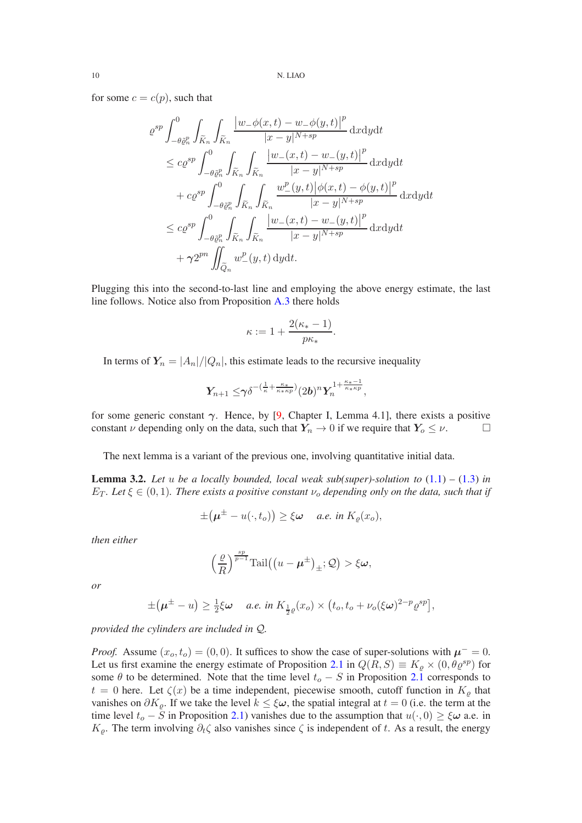for some  $c = c(p)$ , such that

$$
\varrho^{sp} \int_{-\theta \tilde{\varrho}_n^p}^0 \int_{\tilde{K}_n} \int_{\tilde{K}_n} \frac{\left| w_- \phi(x,t) - w_- \phi(y,t) \right|^p}{|x - y|^{N + sp}} \, \mathrm{d}x \mathrm{d}y \mathrm{d}t
$$
\n
$$
\leq c \varrho^{sp} \int_{-\theta \tilde{\varrho}_n^p}^0 \int_{\tilde{K}_n} \int_{\tilde{K}_n} \frac{\left| w_-(x,t) - w_-(y,t) \right|^p}{|x - y|^{N + sp}} \, \mathrm{d}x \mathrm{d}y \mathrm{d}t
$$
\n
$$
+ c \varrho^{sp} \int_{-\theta \tilde{\varrho}_n^p}^0 \int_{\tilde{K}_n} \int_{\tilde{K}_n} \frac{w_-^p(y,t) \left| \phi(x,t) - \phi(y,t) \right|^p}{|x - y|^{N + sp}} \, \mathrm{d}x \mathrm{d}y \mathrm{d}t
$$
\n
$$
\leq c \varrho^{sp} \int_{-\theta \tilde{\varrho}_n^p}^0 \int_{\tilde{K}_n} \int_{\tilde{K}_n} \frac{\left| w_-(x,t) - w_-(y,t) \right|^p}{|x - y|^{N + sp}} \, \mathrm{d}x \mathrm{d}y \mathrm{d}t
$$
\n
$$
+ \gamma 2^{pn} \iint_{\tilde{Q}_n} w_-^p(y,t) \, \mathrm{d}y \mathrm{d}t.
$$

Plugging this into the second-to-last line and employing the above energy estimate, the last line follows. Notice also from Proposition [A.3](#page-21-0) there holds

$$
\kappa := 1 + \frac{2(\kappa_* - 1)}{p\kappa_*}.
$$

In terms of  $Y_n = |A_n|/|Q_n|$ , this estimate leads to the recursive inequality

$$
Y_{n+1}\leq \!\gamma\delta^{-(\frac{1}{\kappa}+\frac{\kappa_*}{\kappa_*\kappa p})}(2b)^nY_n^{1+\frac{\kappa_*-1}{\kappa_*\kappa p}},
$$

for some generic constant  $\gamma$ . Hence, by [\[9,](#page-24-7) Chapter I, Lemma 4.1], there exists a positive constant  $\nu$  depending only on the data, such that  $Y_n \to 0$  if we require that  $Y_0 \le \nu$ .

The next lemma is a variant of the previous one, involving quantitative initial data.

<span id="page-9-0"></span>**Lemma 3.2.** Let u be a locally bounded, local weak sub(super)-solution to  $(1.1) - (1.3)$  $(1.1) - (1.3)$  $(1.1) - (1.3)$  in  $E_T$ *. Let*  $\xi \in (0,1)$ *. There exists a positive constant*  $\nu_o$  *depending only on the data, such that if* 

$$
\pm(\boldsymbol{\mu}^{\pm}-u(\cdot,t_o))\geq \xi\boldsymbol{\omega} \quad \text{ a.e. in } K_{\varrho}(x_o),
$$

*then either*

$$
\left(\frac{\varrho}{R}\right)^{\frac{sp}{p-1}}\text{Tail}\big(\big(u-\boldsymbol{\mu}^{\pm}\big)_{\pm};\mathcal{Q}\big)>\xi\boldsymbol{\omega},
$$

*or*

$$
\pm(\boldsymbol{\mu}^{\pm}-u)\geq \tfrac{1}{2}\xi\boldsymbol{\omega} \quad a.e. \text{ in } K_{\frac{1}{2}\varrho}(x_o)\times (t_o,t_o+\nu_o(\xi\boldsymbol{\omega})^{2-p}\varrho^{sp}),
$$

*provided the cylinders are included in* Q*.*

*Proof.* Assume  $(x_0, t_0) = (0, 0)$ . It suffices to show the case of super-solutions with  $\mu^- = 0$ . Let us first examine the energy estimate of Proposition [2.1](#page-3-1) in  $Q(R, S) \equiv K_{\rho} \times (0, \theta \varrho^{sp})$  for some  $\theta$  to be determined. Note that the time level  $t_o - S$  in Proposition [2.1](#page-3-1) corresponds to  $t = 0$  here. Let  $\zeta(x)$  be a time independent, piecewise smooth, cutoff function in  $K_{\rho}$  that vanishes on  $\partial K_{\rho}$ . If we take the level  $k \leq \xi \omega$ , the spatial integral at  $t = 0$  (i.e. the term at the time level  $t_o - S$  in Proposition [2.1\)](#page-3-1) vanishes due to the assumption that  $u(\cdot, 0) \ge \xi \omega$  a.e. in  $K_{\rho}$ . The term involving  $\partial_t \zeta$  also vanishes since  $\zeta$  is independent of t. As a result, the energy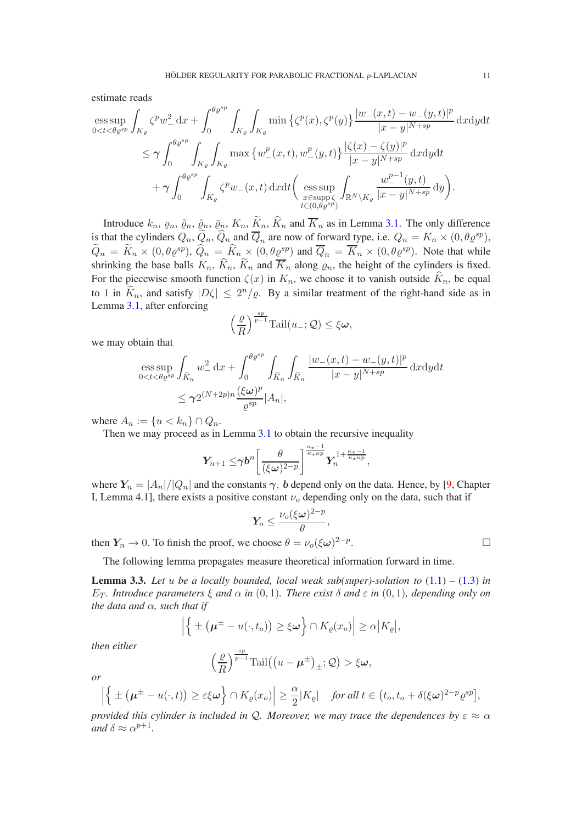estimate reads

$$
\begin{aligned} \underset{0
$$

Introduce  $k_n$ ,  $\varrho_n$ ,  $\tilde{\varrho}_n$ ,  $\tilde{\varrho}_n$ ,  $\tilde{K}_n$ ,  $\tilde{K}_n$ ,  $\tilde{K}_n$  and  $\overline{K}_n$  as in Lemma [3.1.](#page-6-1) The only difference is that the cylinders  $Q_n$ ,  $\widetilde{Q}_n$ ,  $\widehat{Q}_n$  and  $\overline{Q}_n$  are now of forward type, i.e.  $Q_n = K_n \times (0, \theta \varrho^{sp})$ ,  $\widetilde{Q}_n = \widetilde{K}_n \times (0, \theta \varrho^{sp}), \widehat{Q}_n = \widehat{K}_n \times (0, \theta \varrho^{sp})$  and  $\overline{Q}_n = \overline{K}_n \times (0, \theta \varrho^{sp})$ . Note that while shrinking the base balls  $K_n$ ,  $\widetilde{K}_n$ ,  $\widetilde{K}_n$  and  $\overline{K}_n$  along  $\varrho_n$ , the height of the cylinders is fixed. For the piecewise smooth function  $\zeta(x)$  in  $K_n$ , we choose it to vanish outside  $\widehat{K}_n$ , be equal to 1 in  $\widetilde{K}_n$ , and satisfy  $|D\zeta| \leq 2^n/\varrho$ . By a similar treatment of the right-hand side as in Lemma [3.1,](#page-6-1) after enforcing

$$
\left(\frac{\varrho}{R}\right)^{\frac{sp}{p-1}}\mathrm{Tail}(u_{-};\mathcal{Q}) \leq \xi\boldsymbol{\omega},
$$

we may obtain that

$$
\begin{split} & \underset{0
$$

where  $A_n := \{u < k_n\} \cap Q_n$ .

Then we may proceed as in Lemma [3.1](#page-6-1) to obtain the recursive inequality

$$
Y_{n+1}\leq \!\gamma b^n\bigg[\frac{\theta}{(\xi\omega)^{2-p}}\bigg]^{\frac{\kappa_*-1}{\kappa_*\kappa p}}Y_n^{1+\frac{\kappa_*-1}{\kappa_*\kappa p}},
$$

where  $Y_n = |A_n|/|Q_n|$  and the constants  $\gamma$ , b depend only on the data. Hence, by [\[9,](#page-24-7) Chapter I, Lemma 4.1], there exists a positive constant  $\nu$ <sub>o</sub> depending only on the data, such that if

$$
Y_o \leq \frac{\nu_o(\xi\omega)^{2-p}}{\theta},
$$

then  $Y_n \to 0$ . To finish the proof, we choose  $\theta = \nu_o(\xi \omega)^{2-p}$ . — Первый процесс в постановки программа в серверном становки производительно становки производите с производ<br>В серверном становки производительно становки производительно становки производительно становки производительн

The following lemma propagates measure theoretical information forward in time.

<span id="page-10-0"></span>**Lemma 3.3.** Let u be a locally bounded, local weak sub(super)-solution to  $(1.1) - (1.3)$  $(1.1) - (1.3)$  $(1.1) - (1.3)$  in E<sub>T</sub>. Introduce parameters  $ξ$  and  $α$  *in*  $(0, 1)$ *. There exist*  $δ$  and  $ε$  *in*  $(0, 1)$ *, depending only on the data and*  $\alpha$ *, such that if* 

$$
\left| \left\{ \pm \left( \boldsymbol{\mu}^{\pm} - u(\cdot, t_o) \right) \geq \xi \boldsymbol{\omega} \right\} \cap K_{\varrho}(x_o) \right| \geq \alpha \big| K_{\varrho} \big|,
$$

*then either*

$$
\left(\frac{\varrho}{R}\right)^{\frac{sp}{p-1}}\mathrm{Tail}\big(\big(u-\boldsymbol{\mu}^{\pm}\big)_{\pm};\mathcal{Q}\big)>\xi\boldsymbol{\omega},
$$

*or*

$$
\left| \left\{ \pm (\mu^{\pm} - u(\cdot, t)) \ge \varepsilon \xi \omega \right\} \cap K_{\varrho}(x_o) \right| \ge \frac{\alpha}{2} |K_{\varrho}| \quad \text{for all } t \in (t_o, t_o + \delta(\xi \omega)^{2-p} \varrho^{sp}],
$$

*provided this cylinder is included in* Q. Moreover, we may trace the dependences by  $\varepsilon \approx \alpha$ *and*  $\delta \approx \alpha^{p+1}$ *.*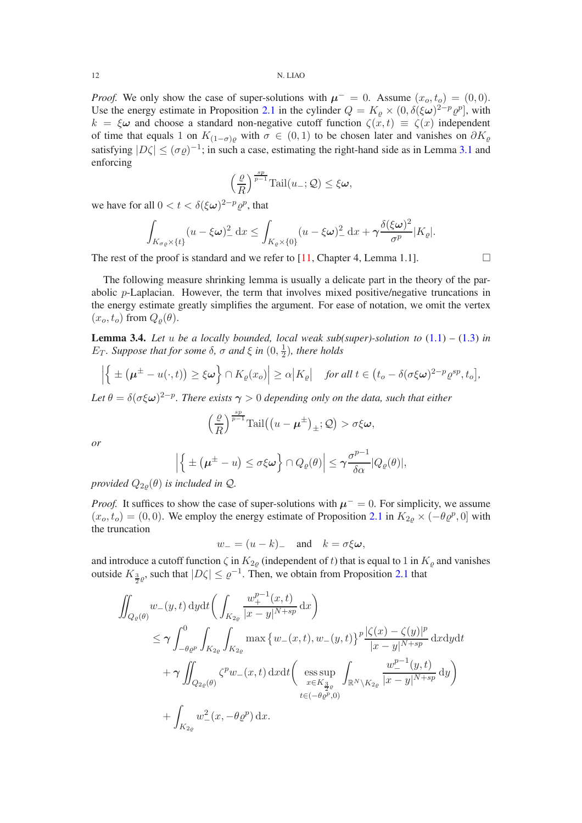*Proof.* We only show the case of super-solutions with  $\mu^- = 0$ . Assume  $(x_o, t_o) = (0, 0)$ . Use the energy estimate in Proposition [2.1](#page-3-1) in the cylinder  $Q = K_{\varrho} \times (0, \delta(\xi \omega)^{2-p} \varrho^p)$ , with  $k = \xi \omega$  and choose a standard non-negative cutoff function  $\zeta(x, t) \equiv \zeta(x)$  independent of time that equals 1 on  $K_{(1-\sigma)\rho}$  with  $\sigma \in (0,1)$  to be chosen later and vanishes on  $\partial K_{\rho}$ satisfying  $|D\zeta| \leq (\sigma \varrho)^{-1}$ ; in such a case, estimating the right-hand side as in Lemma [3.1](#page-6-1) and enforcing

$$
\left(\frac{\varrho}{R}\right)^{\frac{sp}{p-1}}\mathrm{Tail}(u_{-};\mathcal{Q}) \leq \xi\boldsymbol{\omega},
$$

we have for all  $0 < t < \delta (\xi \omega)^{2-p} \varrho^p$ , that

$$
\int_{K_{\sigma\varrho}\times\{t\}} (u-\xi\omega)_{-}^2 dx \leq \int_{K_{\varrho}\times\{0\}} (u-\xi\omega)_{-}^2 dx + \gamma \frac{\delta(\xi\omega)^2}{\sigma^p}|K_{\varrho}|.
$$

The rest of the proof is standard and we refer to [\[11,](#page-25-14) Chapter 4, Lemma 1.1].

The following measure shrinking lemma is usually a delicate part in the theory of the parabolic  $p$ -Laplacian. However, the term that involves mixed positive/negative truncations in the energy estimate greatly simplifies the argument. For ease of notation, we omit the vertex  $(x_o, t_o)$  from  $Q_o(\theta)$ .

<span id="page-11-0"></span>**Lemma 3.4.** Let u be a locally bounded, local weak sub(super)-solution to  $(1.1) - (1.3)$  $(1.1) - (1.3)$  $(1.1) - (1.3)$  in E<sub>T</sub>. Suppose that for some δ, σ and  $\xi$  in  $(0, \frac{1}{2})$  $\frac{1}{2}$ ), there holds

$$
\left|\left\{\pm(\mu^{\pm}-u(\cdot,t))\geq\xi\omega\right\}\cap K_{\varrho}(x_o)\right|\geq\alpha\big|K_{\varrho}\big|\quad\text{for all }t\in\big(t_o-\delta(\sigma\xi\omega)^{2-p}\varrho^{sp},t_o\big],
$$

Let  $\theta = \delta(\sigma \xi \omega)^{2-p}$ . There exists  $\gamma > 0$  depending only on the data, such that either

$$
\left(\frac{\varrho}{R}\right)^{\frac{sp}{p-1}}\mathrm{Tail}\big(\big(u-\boldsymbol{\mu}^{\pm}\big)_{\pm};\mathcal{Q}\big) > \sigma\xi\boldsymbol{\omega},
$$

*or*

$$
\left|\left\{\pm(\mu^{\pm}-u)\leq\sigma\xi\omega\right\}\cap Q_{\varrho}(\theta)\right|\leq\gamma\frac{\sigma^{p-1}}{\delta\alpha}|Q_{\varrho}(\theta)|,
$$

*provided*  $Q_{2\rho}(\theta)$  *is included in*  $Q$ *.* 

*Proof.* It suffices to show the case of super-solutions with  $\mu^- = 0$ . For simplicity, we assume  $(x_o, t_o) = (0, 0)$ . We employ the energy estimate of Proposition [2.1](#page-3-1) in  $K_{2\rho} \times (-\theta \varrho^p, 0]$  with the truncation

 $w_-= (u-k)_-$  and  $k=\sigma \xi \omega$ ,

and introduce a cutoff function  $\zeta$  in  $K_{2\varrho}$  (independent of t) that is equal to 1 in  $K_{\varrho}$  and vanishes outside  $K_{\frac{3}{2}\varrho}$ , such that  $|D\zeta| \leq \varrho^{-1}$ . Then, we obtain from Proposition [2.1](#page-3-1) that

$$
\iint_{Q_{\varrho}(\theta)} w_{-}(y,t) \, dydt \bigg( \int_{K_{2\varrho}} \frac{w_{+}^{p-1}(x,t)}{|x-y|^{N+sp}} dx \bigg) \n\leq \gamma \int_{-\theta \varrho^{p}}^{0} \int_{K_{2\varrho}} \int_{K_{2\varrho}} \max \left\{ w_{-}(x,t), w_{-}(y,t) \right\}^{p} \frac{|\zeta(x) - \zeta(y)|^{p}}{|x-y|^{N+sp}} dx dy dt \n+ \gamma \iint_{Q_{2\varrho}(\theta)} \zeta^{p} w_{-}(x,t) dx dt \bigg( \underset{x \in K_{\frac{3}{2}\varrho}}{\text{ess sup}} \int_{\mathbb{R}^{N} \setminus K_{2\varrho}} \frac{w_{-}^{p-1}(y,t)}{|x-y|^{N+sp}} dy \bigg) \n+ \int_{K_{2\varrho}} w_{-}^{2}(x, -\theta \varrho^{p}) dx.
$$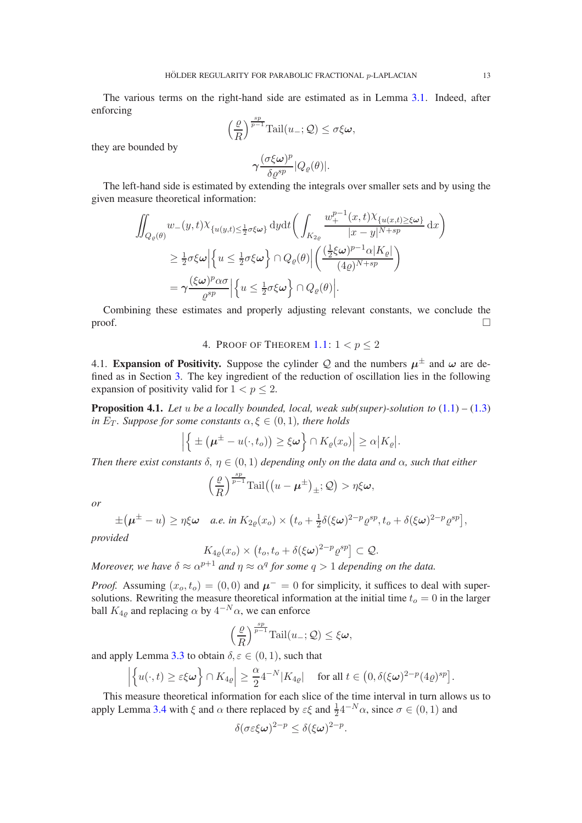The various terms on the right-hand side are estimated as in Lemma [3.1.](#page-6-1) Indeed, after enforcing

$$
\left(\frac{\varrho}{R}\right)^{\frac{sp}{p-1}}\text{Tail}(u_{-};\mathcal{Q}) \leq \sigma\xi\omega,
$$

$$
\gamma\frac{(\sigma\xi\omega)^p}{\delta\varrho^{sp}}|Q_{\varrho}(\theta)|.
$$

they are bounded by

The left-hand side is estimated by extending the integrals over smaller sets and by using the given measure theoretical information:

$$
\iint_{Q_{\varrho}(\theta)} w_{-}(y,t) \chi_{\{u(y,t) \leq \frac{1}{2}\sigma\xi\omega\}} \, dydt \bigg( \int_{K_{2\varrho}} \frac{w_{+}^{p-1}(x,t) \chi_{\{u(x,t) \geq \xi\omega\}}}{|x-y|^{N+sp}} \, dx \bigg)
$$
\n
$$
\geq \frac{1}{2} \sigma \xi \omega \Big| \Big\{ u \leq \frac{1}{2} \sigma \xi \omega \Big\} \cap Q_{\varrho}(\theta) \Big| \bigg( \frac{(\frac{1}{2}\xi\omega)^{p-1} \alpha |K_{\varrho}|}{(4\varrho)^{N+sp}} \bigg)
$$
\n
$$
= \gamma \frac{(\xi\omega)^p \alpha \sigma}{\varrho^{sp}} \Big| \Big\{ u \leq \frac{1}{2} \sigma \xi \omega \Big\} \cap Q_{\varrho}(\theta) \Big|.
$$

Combining these estimates and properly adjusting relevant constants, we conclude the  $\Box$ 

# 4. PROOF OF THEOREM  $1.1: 1 < p \leq 2$  $1.1: 1 < p \leq 2$

4.1. Expansion of Positivity. Suppose the cylinder Q and the numbers  $\mu^{\pm}$  and  $\omega$  are defined as in Section [3.](#page-6-2) The key ingredient of the reduction of oscillation lies in the following expansion of positivity valid for  $1 < p \leq 2$ .

<span id="page-12-0"></span>**Proposition 4.1.** Let u be a locally bounded, local, weak sub(super)-solution to  $(1.1) - (1.3)$  $(1.1) - (1.3)$  $(1.1) - (1.3)$ *in*  $E_T$ *. Suppose for some constants*  $\alpha, \xi \in (0, 1)$ *, there holds* 

$$
\left| \left\{ \pm \left( \boldsymbol{\mu}^{\pm} - u(\cdot, t_o) \right) \geq \xi \boldsymbol{\omega} \right\} \cap K_{\varrho}(x_o) \right| \geq \alpha \big| K_{\varrho} \big|.
$$

*Then there exist constants*  $\delta$ ,  $\eta \in (0,1)$  *depending only on the data and*  $\alpha$ *, such that either* 

$$
\left(\frac{\varrho}{R}\right)^{\frac{sp}{p-1}}\mathrm{Tail}\big(\big(u-\boldsymbol{\mu}^{\pm}\big)_{\pm};\mathcal{Q}\big) > \eta \xi \boldsymbol{\omega},
$$

*or*

$$
\pm(\mu^{\pm}-u)\geq \eta\xi\omega \quad a.e. \text{ in } K_{2\varrho}(x_o)\times \left(t_o+\tfrac{1}{2}\delta(\xi\omega)^{2-p}\varrho^{sp}, t_o+\delta(\xi\omega)^{2-p}\varrho^{sp}\right],
$$

*provided*

$$
K_{4\varrho}(x_o) \times (t_o, t_o + \delta(\xi \omega)^{2-p} \varrho^{sp}] \subset \mathcal{Q}.
$$

*Moreover, we have*  $\delta \approx \alpha^{p+1}$  *and*  $\eta \approx \alpha^q$  for some  $q > 1$  depending on the data.

*Proof.* Assuming  $(x_o, t_o) = (0, 0)$  and  $\mu^- = 0$  for simplicity, it suffices to deal with supersolutions. Rewriting the measure theoretical information at the initial time  $t<sub>o</sub> = 0$  in the larger ball  $K_{4\varrho}$  and replacing  $\alpha$  by  $4^{-N}\alpha$ , we can enforce

$$
\left(\frac{\varrho}{R}\right)^{\frac{sp}{p-1}}\text{Tail}(u_{-};\mathcal{Q})\leq\xi\boldsymbol{\omega},
$$

and apply Lemma [3.3](#page-10-0) to obtain  $\delta, \varepsilon \in (0, 1)$ , such that

$$
\left|\left\{u(\cdot,t)\geq \varepsilon\xi\boldsymbol{\omega}\right\}\cap K_{4\varrho}\right|\geq \frac{\alpha}{2}4^{-N}|K_{4\varrho}| \quad\text{ for all } t\in \big(0,\delta(\xi\boldsymbol{\omega})^{2-p}(4\varrho)^{sp}\big].
$$

This measure theoretical information for each slice of the time interval in turn allows us to apply Lemma [3.4](#page-11-0) with  $\xi$  and  $\alpha$  there replaced by  $\varepsilon \xi$  and  $\frac{1}{2} 4^{-N} \alpha$ , since  $\sigma \in (0, 1)$  and

$$
\delta(\sigma \varepsilon \xi \omega)^{2-p} \leq \delta(\xi \omega)^{2-p}.
$$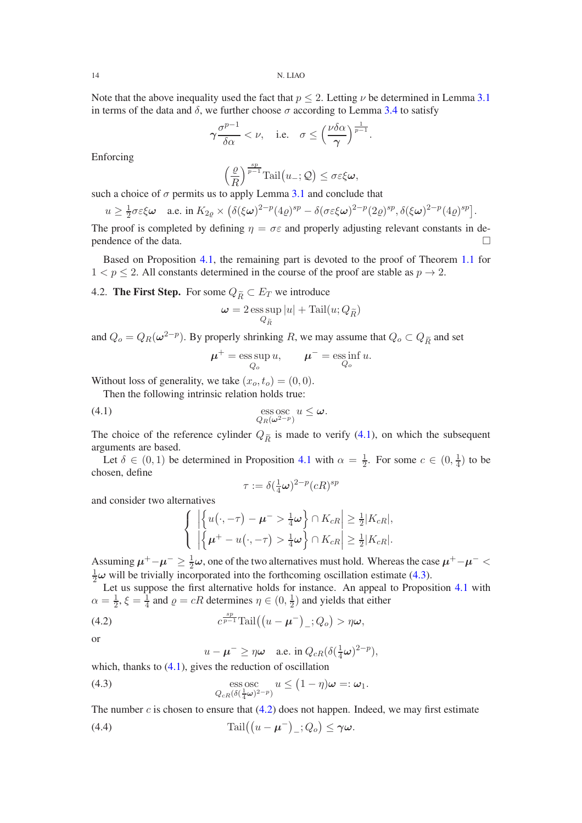Note that the above inequality used the fact that  $p < 2$ . Letting  $\nu$  be determined in Lemma [3.1](#page-6-1) in terms of the data and  $\delta$ , we further choose  $\sigma$  according to Lemma [3.4](#page-11-0) to satisfy

$$
\gamma \frac{\sigma^{p-1}}{\delta \alpha} < \nu, \quad \text{i.e.} \quad \sigma \le \left(\frac{\nu \delta \alpha}{\gamma}\right)^{\frac{1}{p-1}}.
$$

Enforcing

$$
\left(\frac{\varrho}{R}\right)^{\frac{sp}{p-1}}\mathrm{Tail}\big(u_{-};\mathcal{Q}\big) \leq \sigma \varepsilon \xi \omega,
$$

such a choice of  $\sigma$  permits us to apply Lemma [3.1](#page-6-1) and conclude that

$$
u \geq \frac{1}{2}\sigma\varepsilon\xi\omega \quad \text{a.e. in } K_{2\varrho} \times (\delta(\xi\omega)^{2-p}(4\varrho)^{sp} - \delta(\sigma\varepsilon\xi\omega)^{2-p}(2\varrho)^{sp}, \delta(\xi\omega)^{2-p}(4\varrho)^{sp}).
$$

The proof is completed by defining  $\eta = \sigma \varepsilon$  and properly adjusting relevant constants in dependence of the data.  $\Box$ 

Based on Proposition [4.1,](#page-12-0) the remaining part is devoted to the proof of Theorem [1.1](#page-0-2) for  $1 < p \le 2$ . All constants determined in the course of the proof are stable as  $p \to 2$ .

4.2. The First Step. For some  $Q_{\widetilde{R}} \subset E_T$  we introduce

$$
\pmb{\omega} = 2 \operatorname*{ess\,sup}_{Q_{\widetilde{R}}} |u| + \operatorname{Tail}(u;Q_{\widetilde{R}})
$$

and  $Q_o = Q_R(\omega^{2-p})$ . By properly shrinking R, we may assume that  $Q_o \subset Q_{\widetilde{R}}$  and set

<span id="page-13-0"></span>
$$
\mu^+ = \operatorname*{ess\,sup}_{Q_o} u, \qquad \mu^- = \operatorname*{ess\,inf}_{Q_o} u.
$$

Without loss of generality, we take  $(x_o, t_o) = (0, 0)$ .

Then the following intrinsic relation holds true:

(4.1) 
$$
\underset{Q_R(\omega^{2-p})}{\text{ess osc}} u \leq \omega.
$$

The choice of the reference cylinder  $Q_{\tilde{R}}$  is made to verify [\(4.1\)](#page-13-0), on which the subsequent arguments are based.

Let  $\delta \in (0,1)$  be determined in Proposition [4.1](#page-12-0) with  $\alpha = \frac{1}{2}$  $\frac{1}{2}$ . For some  $c \in (0, \frac{1}{4})$  $(\frac{1}{4})$  to be chosen, define

$$
\tau:=\delta(\tfrac{1}{4}\boldsymbol{\omega})^{2-p}(cR)^{sp}
$$

and consider two alternatives

$$
\left\{\begin{array}{l}\left|\left\{u(\cdot,-\tau)-\boldsymbol{\mu}^{-}>\frac{1}{4}\boldsymbol{\omega}\right\}\cap K_{cR}\right|\geq\frac{1}{2}|K_{cR}|,\\ \left|\left\{\boldsymbol{\mu}^{+}-u(\cdot,-\tau)>\frac{1}{4}\boldsymbol{\omega}\right\}\cap K_{cR}\right|\geq\frac{1}{2}|K_{cR}|.\end{array}\right.
$$

Assuming  $\mu^+ - \mu^- \ge \frac{1}{2}\omega$ , one of the two alternatives must hold. Whereas the case  $\mu^+ - \mu^- <$  $\frac{1}{2}\omega$  will be trivially incorporated into the forthcoming oscillation estimate [\(4.3\)](#page-13-1).

Let us suppose the first alternative holds for instance. An appeal to Proposition [4.1](#page-12-0) with  $\alpha = \frac{1}{2}$  $\frac{1}{2}, \xi = \frac{1}{4}$  $\frac{1}{4}$  and  $\rho = cR$  determines  $\eta \in (0, \frac{1}{2})$  $\frac{1}{2}$ ) and yields that either

(4.2) 
$$
c^{\frac{sp}{p-1}}\mathrm{Tail}((u-\mu^{-})_{-};Q_{o}) > \eta\omega,
$$
 or

<span id="page-13-3"></span><span id="page-13-2"></span><span id="page-13-1"></span>
$$
u - \mu^{-} \geq \eta \omega \quad \text{a.e. in } Q_{cR}(\delta(\tfrac{1}{4}\omega)^{2-p}),
$$

which, thanks to  $(4.1)$ , gives the reduction of oscillation

(4.3) 
$$
\operatorname{ess\,osc}_{Q_{cR}(\delta(\frac{1}{4}\omega)^{2-p})} u \leq (1-\eta)\omega =:\omega_1.
$$

The number  $c$  is chosen to ensure that  $(4.2)$  does not happen. Indeed, we may first estimate

(4.4) 
$$
\operatorname{Tail}((u-\mu^-)_-;Q_o)\leq \gamma\omega.
$$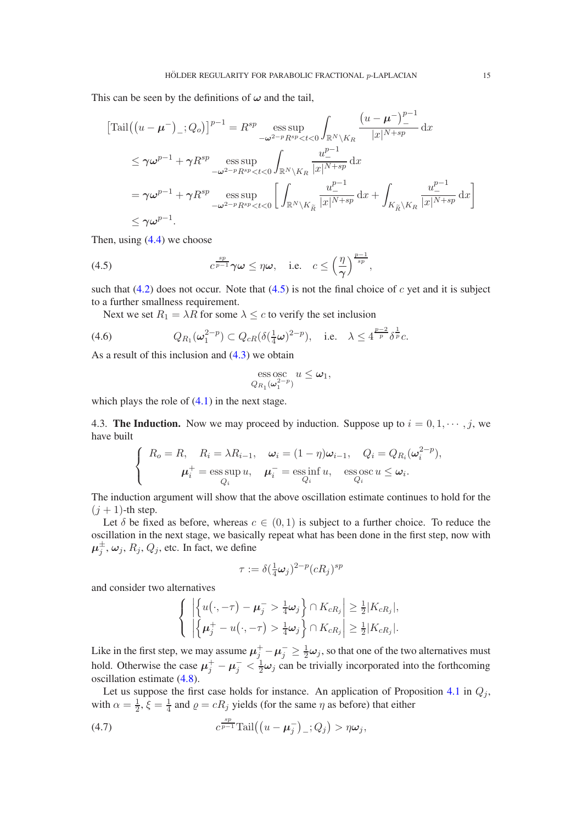This can be seen by the definitions of  $\omega$  and the tail,

$$
\begin{split}\n\left[\text{Tail}\left(\left(u-\boldsymbol{\mu}^{-}\right)_{-};Q_{o}\right)\right]^{p-1} &= R^{sp} \underset{-\omega^{2-p}R^{sp} < t < 0}{\text{ess sup}} \int_{\mathbb{R}^{N}\setminus K_{R}} \frac{\left(u-\boldsymbol{\mu}^{-}\right)_{-}^{p-1}}{|x|^{N+sp}} \, \mathrm{d}x \\
&\leq \gamma \omega^{p-1} + \gamma R^{sp} \underset{-\omega^{2-p}R^{sp} < t < 0}{\text{ess sup}} \int_{\mathbb{R}^{N}\setminus K_{R}} \frac{u_{-}^{p-1}}{|x|^{N+sp}} \, \mathrm{d}x \\
&= \gamma \omega^{p-1} + \gamma R^{sp} \underset{-\omega^{2-p}R^{sp} < t < 0}{\text{ess sup}} \left[ \int_{\mathbb{R}^{N}\setminus K_{R}} \frac{u_{-}^{p-1}}{|x|^{N+sp}} \, \mathrm{d}x + \int_{K_{R}^{-}\setminus K_{R}} \frac{u_{-}^{p-1}}{|x|^{N+sp}} \, \mathrm{d}x \right] \\
&\leq \gamma \omega^{p-1}.\n\end{split}
$$

Then, using  $(4.4)$  we choose

<span id="page-14-0"></span>(4.5) 
$$
c^{\frac{sp}{p-1}}\gamma\omega \leq \eta\omega, \quad \text{i.e.} \quad c \leq \left(\frac{\eta}{\gamma}\right)^{\frac{p-1}{sp}},
$$

such that [\(4.2\)](#page-13-2) does not occur. Note that [\(4.5\)](#page-14-0) is not the final choice of c yet and it is subject to a further smallness requirement.

<span id="page-14-2"></span>Next we set  $R_1 = \lambda R$  for some  $\lambda \leq c$  to verify the set inclusion

$$
(4.6) \tQ_{R_1}(\omega_1^{2-p}) \subset Q_{cR}(\delta(\tfrac{1}{4}\omega)^{2-p}), \quad \text{i.e.} \quad \lambda \le 4^{\frac{p-2}{p}}\delta^{\frac{1}{p}}c.
$$

As a result of this inclusion and [\(4.3\)](#page-13-1) we obtain

$$
\operatorname{ess}\operatorname{osc}_{Q_{R_1}(\omega_1^{2-p})} u \leq \omega_1,
$$

which plays the role of  $(4.1)$  in the next stage.

4.3. The Induction. Now we may proceed by induction. Suppose up to  $i = 0, 1, \dots, j$ , we have built

$$
\begin{cases}\nR_o = R, & R_i = \lambda R_{i-1}, & \omega_i = (1 - \eta)\omega_{i-1}, & Q_i = Q_{R_i}(\omega_i^{2-p}), \\
\mu_i^+ = \operatorname*{ess\,sup}_{Q_i} u, & \mu_i^- = \operatorname*{ess\,inf}_{Q_i} u, & \operatorname*{ess\,os\,sup}_{Q_i} u \le \omega_i.\n\end{cases}
$$

The induction argument will show that the above oscillation estimate continues to hold for the  $(j + 1)$ -th step.

Let  $\delta$  be fixed as before, whereas  $c \in (0,1)$  is subject to a further choice. To reduce the oscillation in the next stage, we basically repeat what has been done in the first step, now with  $\boldsymbol{\mu}_j^{\pm}, \boldsymbol{\omega}_j, R_j, Q_j,$  etc. In fact, we define

$$
\tau:=\delta(\tfrac{1}{4}\pmb{\omega}_j)^{2-p}(cR_j)^{sp}
$$

and consider two alternatives

$$
\left\{\begin{array}{l}\left|\left\{u(\cdot,-\tau)-\mu_j^->\frac{1}{4}\omega_j\right\}\cap K_{cR_j}\right|\geq\frac{1}{2}|K_{cR_j}|,\\ \left|\left\{\mu_j^+-u(\cdot,-\tau)>\frac{1}{4}\omega_j\right\}\cap K_{cR_j}\right|\geq\frac{1}{2}|K_{cR_j}|.\end{array}\right.
$$

Like in the first step, we may assume  $\mu_j^+ - \mu_j^- \ge \frac{1}{2}\omega_j$ , so that one of the two alternatives must hold. Otherwise the case  $\mu_j^+ - \mu_j^- < \frac{1}{2}\omega_j$  can be trivially incorporated into the forthcoming oscillation estimate [\(4.8\)](#page-15-0).

Let us suppose the first case holds for instance. An application of Proposition [4.1](#page-12-0) in  $Q_i$ , with  $\alpha = \frac{1}{2}$  $\frac{1}{2}, \xi = \frac{1}{4}$  $\frac{1}{4}$  and  $\rho = cR_j$  yields (for the same  $\eta$  as before) that either

<span id="page-14-1"></span>(4.7) 
$$
c^{\frac{sp}{p-1}}\mathrm{Tail}\big(\big(u-\mu_j^-\big)_-;Q_j\big) > \eta\omega_j,
$$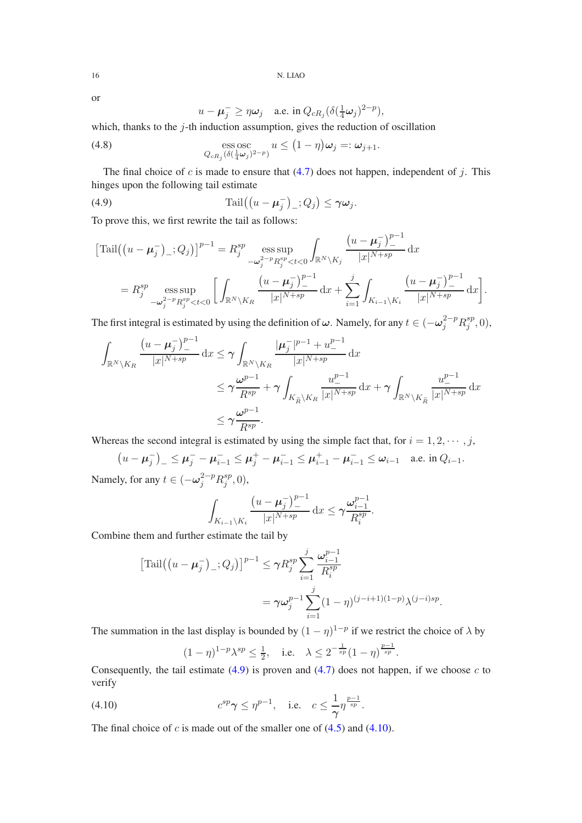or

<span id="page-15-1"></span><span id="page-15-0"></span>
$$
u - \boldsymbol{\mu}_j^- \ge \eta \boldsymbol{\omega}_j \quad \text{a.e. in } Q_{cR_j} (\delta(\tfrac{1}{4}\boldsymbol{\omega}_j)^{2-p}),
$$

which, thanks to the  $j$ -th induction assumption, gives the reduction of oscillation

(4.8) 
$$
\operatorname*{ess\,osc}_{Q_{cR_j}(\delta(\frac{1}{4}\omega_j)^{2-p})} u \leq (1-\eta)\omega_j =: \omega_{j+1}.
$$

The final choice of c is made to ensure that  $(4.7)$  does not happen, independent of j. This hinges upon the following tail estimate

(4.9) 
$$
\operatorname{Tail}\left(\left(u-\mu_j^-\right)_-;Q_j\right)\leq \gamma\omega_j.
$$

To prove this, we first rewrite the tail as follows:

$$
\begin{split} \left[\text{Tail}\left((u-\mu_{j}^{-})_{-};Q_{j}\right)\right]^{p-1} &= R_{j}^{sp} \operatorname*{ess\,sup}_{-\omega_{j}^{2-p}R_{j}^{sp} < t < 0} \int_{\mathbb{R}^{N}\backslash K_{j}} \frac{\left(u-\mu_{j}^{-}\right)_{-}^{p-1}}{|x|^{N+sp}} \,\mathrm{d}x \\ &= R_{j}^{sp} \operatorname*{ess\,sup}_{-\omega_{j}^{2-p}R_{j}^{sp} < t < 0} \left[\int_{\mathbb{R}^{N}\backslash K_{R}} \frac{\left(u-\mu_{j}^{-}\right)_{-}^{p-1}}{|x|^{N+sp}} \,\mathrm{d}x + \sum_{i=1}^{j} \int_{K_{i-1}\backslash K_{i}} \frac{\left(u-\mu_{j}^{-}\right)_{-}^{p-1}}{|x|^{N+sp}} \,\mathrm{d}x\right]. \end{split}
$$

The first integral is estimated by using the definition of  $\omega$ . Namely, for any  $t \in (-\omega_j^{2-p} R_j^{sp})$  $_j^{sp},0),$ 

$$
\int_{\mathbb{R}^N \backslash K_R} \frac{\left(u - \mu_j^-\right)_-^{p-1}}{|x|^{N+sp}} dx \le \gamma \int_{\mathbb{R}^N \backslash K_R} \frac{|\mu_j^-|^{p-1} + u_-^{p-1}}{|x|^{N+sp}} dx
$$
\n
$$
\le \gamma \frac{\omega^{p-1}}{R^{sp}} + \gamma \int_{K_{\widetilde{R}} \backslash K_R} \frac{u_-^{p-1}}{|x|^{N+sp}} dx + \gamma \int_{\mathbb{R}^N \backslash K_{\widetilde{R}}} \frac{u_-^{p-1}}{|x|^{N+sp}} dx
$$
\n
$$
\le \gamma \frac{\omega^{p-1}}{R^{sp}}.
$$

Whereas the second integral is estimated by using the simple fact that, for  $i = 1, 2, \dots, j$ ,

$$
(u - \mu_j^-)_- \le \mu_j^- - \mu_{i-1}^- \le \mu_j^+ - \mu_{i-1}^- \le \mu_{i-1}^+ - \mu_{i-1}^- \le \omega_{i-1} \quad \text{a.e. in } Q_{i-1}.
$$
  
 Namely, for any  $t \in (-\omega_j^{2-p} R_j^{sp}, 0)$ ,

$$
\int_{K_{i-1}\setminus K_i} \frac{\left(u-\mu_j^-\right)_{-}^{p-1}}{|x|^{N+sp}} \, \mathrm{d}x \le \gamma \frac{\omega_{i-1}^{p-1}}{R_i^{sp}}.
$$

Combine them and further estimate the tail by

$$
\begin{aligned} \left[ \text{Tail}\left( (u - \mu_j^-)_{-}; Q_j \right) \right]^{p-1} &\leq \gamma R_j^{sp} \sum_{i=1}^j \frac{\omega_{i-1}^{p-1}}{R_i^{sp}} \\ &= \gamma \omega_j^{p-1} \sum_{i=1}^j (1 - \eta)^{(j-i+1)(1-p)} \lambda^{(j-i)sp} .\end{aligned}
$$

The summation in the last display is bounded by  $(1 - \eta)^{1-p}$  if we restrict the choice of  $\lambda$  by

<span id="page-15-2"></span>
$$
(1 - \eta)^{1-p} \lambda^{sp} \le \frac{1}{2}
$$
, i.e.  $\lambda \le 2^{-\frac{1}{sp}} (1 - \eta)^{\frac{p-1}{sp}}$ .

Consequently, the tail estimate  $(4.9)$  is proven and  $(4.7)$  does not happen, if we choose c to verify

(4.10) 
$$
c^{sp}\gamma \le \eta^{p-1}
$$
, i.e.  $c \le \frac{1}{\gamma}\eta^{\frac{p-1}{sp}}$ .

The final choice of  $c$  is made out of the smaller one of  $(4.5)$  and  $(4.10)$ .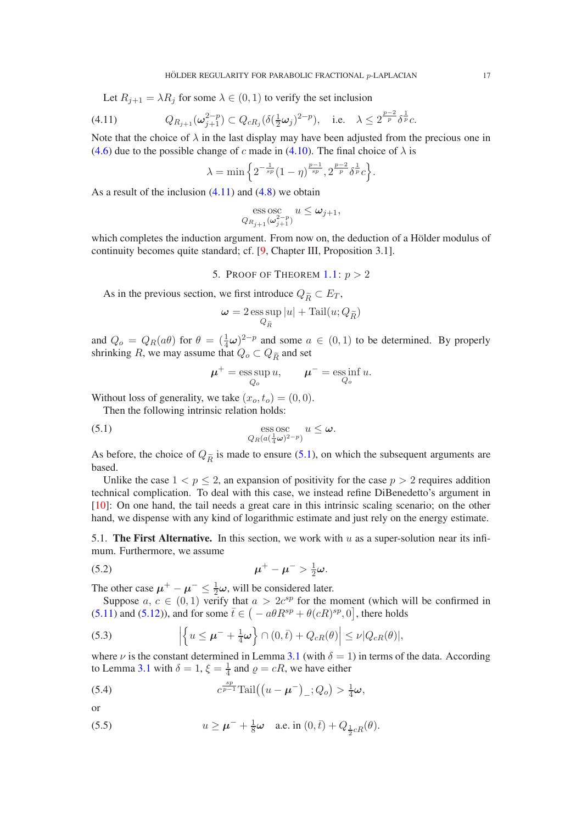Let  $R_{j+1} = \lambda R_j$  for some  $\lambda \in (0,1)$  to verify the set inclusion

$$
(4.11) \tQ_{R_{j+1}}(\omega_{j+1}^{2-p}) \subset Q_{cR_j}(\delta(\frac{1}{2}\omega_j)^{2-p}), \text{ i.e. } \lambda \le 2^{\frac{p-2}{p}} \delta^{\frac{1}{p}} c.
$$

Note that the choice of  $\lambda$  in the last display may have been adjusted from the precious one in [\(4.6\)](#page-14-2) due to the possible change of c made in [\(4.10\)](#page-15-2). The final choice of  $\lambda$  is

<span id="page-16-0"></span>
$$
\lambda = \min \left\{ 2^{-\frac{1}{sp}} (1 - \eta)^{\frac{p-1}{sp}}, 2^{\frac{p-2}{p}} \delta^{\frac{1}{p}} c \right\}.
$$

As a result of the inclusion  $(4.11)$  and  $(4.8)$  we obtain

$$
\operatorname*{ess\,osc}_{Q_{R_{j+1}}(\omega_{j+1}^{2-p})} u \leq \omega_{j+1},
$$

which completes the induction argument. From now on, the deduction of a Hölder modulus of continuity becomes quite standard; cf. [\[9,](#page-24-7) Chapter III, Proposition 3.1].

5. PROOF OF THEOREM  $1 \cdot n > 2$ 

As in the previous section, we first introduce  $Q_{\widetilde{R}} \subset E_T$ ,

$$
\pmb{\omega} = 2 \operatorname*{ess\,sup}_{Q_{\widetilde{R}}} |u| + \operatorname{Tail}(u;Q_{\widetilde{R}})
$$

and  $Q_o = Q_R(a\theta)$  for  $\theta = (\frac{1}{4}\omega)^{2-p}$  and some  $a \in (0,1)$  to be determined. By properly shrinking  $R$ , we may assume that  $Q_o \subset Q_{\widetilde{R}}$  and set

<span id="page-16-1"></span>
$$
\boldsymbol{\mu}^+ = \operatorname*{ess\,sup}_{Q_o} u, \qquad \boldsymbol{\mu}^- = \operatorname*{ess\,inf}_{Q_o} u.
$$

Without loss of generality, we take  $(x_o, t_o) = (0, 0)$ .

Then the following intrinsic relation holds:

(5.1) 
$$
\underset{Q_R(a(\frac{1}{4}\omega)^{2-p})}{\operatorname{ess}\, \operatorname{osc}} u \leq \omega.
$$

As before, the choice of  $Q_{\tilde{R}}$  is made to ensure [\(5.1\)](#page-16-1), on which the subsequent arguments are based.

Unlike the case  $1 < p \le 2$ , an expansion of positivity for the case  $p > 2$  requires addition technical complication. To deal with this case, we instead refine DiBenedetto's argument in [\[10\]](#page-24-8): On one hand, the tail needs a great care in this intrinsic scaling scenario; on the other hand, we dispense with any kind of logarithmic estimate and just rely on the energy estimate.

5.1. The First Alternative. In this section, we work with  $u$  as a super-solution near its infimum. Furthermore, we assume

<span id="page-16-5"></span>
$$
\mu^+ - \mu^- > \frac{1}{2}\omega.
$$

The other case  $\mu^+ - \mu^- \leq \frac{1}{2}\omega$ , will be considered later.

Suppose  $a, c \in (0, 1)$  verify that  $a > 2c^{sp}$  for the moment (which will be confirmed in [\(5.11\)](#page-17-0) and [\(5.12\)](#page-17-1)), and for some  $\bar{t} \in (-a\theta R^{sp} + \theta(cR)^{sp}, 0]$ , there holds

<span id="page-16-4"></span>(5.3) 
$$
\left| \left\{ u \leq \mu^{-} + \frac{1}{4} \omega \right\} \cap (0, \bar{t}) + Q_{cR}(\theta) \right| \leq \nu |Q_{cR}(\theta)|,
$$

where  $\nu$  is the constant determined in Lemma [3.1](#page-6-1) (with  $\delta = 1$ ) in terms of the data. According to Lemma [3.1](#page-6-1) with  $\delta = 1$ ,  $\xi = \frac{1}{4}$  and  $\rho = cR$ , we have either

<span id="page-16-2"></span>(5.4) 
$$
c^{\frac{sp}{p-1}}\mathrm{Tail}((u-\mu^{-})_{-};Q_{o})>\frac{1}{4}\omega,
$$

or

<span id="page-16-3"></span>(5.5) 
$$
u \ge \mu^{-} + \frac{1}{8}\omega
$$
 a.e. in  $(0, \bar{t}) + Q_{\frac{1}{2}cR}(\theta)$ .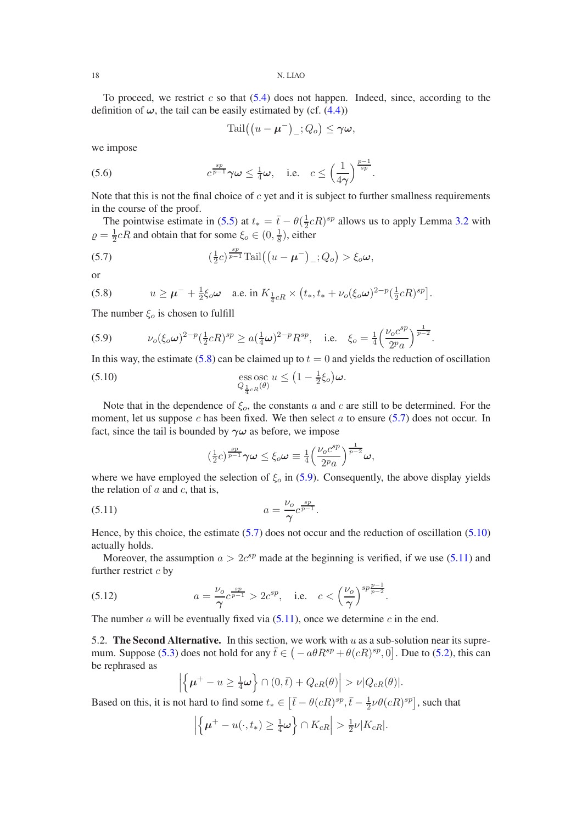To proceed, we restrict c so that  $(5.4)$  does not happen. Indeed, since, according to the definition of  $\omega$ , the tail can be easily estimated by (cf. [\(4.4\)](#page-13-3))

<span id="page-17-6"></span>
$$
\mathrm{Tail}((u-\boldsymbol{\mu}^-)_{-};Q_o) \leq \gamma \boldsymbol{\omega},
$$

we impose

(5.6) 
$$
c^{\frac{sp}{p-1}}\gamma\omega \leq \frac{1}{4}\omega, \quad \text{i.e.} \quad c \leq \left(\frac{1}{4\gamma}\right)^{\frac{p-1}{sp}}.
$$

Note that this is not the final choice of  $c$  yet and it is subject to further smallness requirements in the course of the proof.

The pointwise estimate in [\(5.5\)](#page-16-3) at  $t_* = \bar{t} - \theta(\frac{1}{2})$  $\frac{1}{2}cR$ <sup>sp</sup> allows us to apply Lemma [3.2](#page-9-0) with  $\rho = \frac{1}{2}$  $\frac{1}{2}cR$  and obtain that for some  $\xi_o \in (0, \frac{1}{8})$  $\frac{1}{8}$ ), either

<span id="page-17-3"></span>(5.7) 
$$
\left(\frac{1}{2}c\right)^{\frac{sp}{p-1}}\mathrm{Tail}\left(\left(u-\mu^{-}\right)_{-};Q_{o}\right)>\xi_{o}\omega,
$$

or

<span id="page-17-2"></span>(5.8) 
$$
u \ge \mu^{-} + \frac{1}{2}\xi_o\omega \quad \text{a.e. in } K_{\frac{1}{4}cR} \times (t_*, t_* + \nu_o(\xi_o\omega)^{2-p}(\frac{1}{2}cR)^{sp}].
$$

The number  $\xi_o$  is chosen to fulfill

<span id="page-17-4"></span>(5.9) 
$$
\nu_o(\xi_o \omega)^{2-p} (\frac{1}{2}cR)^{sp} \ge a(\frac{1}{4}\omega)^{2-p} R^{sp}, \text{ i.e. } \xi_o = \frac{1}{4} \left( \frac{\nu_o c^{sp}}{2^p a} \right)^{\frac{1}{p-2}}.
$$

In this way, the estimate [\(5.8\)](#page-17-2) can be claimed up to  $t = 0$  and yields the reduction of oscillation (5.10) ess osc  $Q_{\frac{1}{4}cR}(\theta)$  $u \leq (1 - \frac{1}{2}\xi_o)\boldsymbol{\omega}.$ 

Note that in the dependence of 
$$
\xi_o
$$
, the constants a and c are still to be determined. For the moment, let us suppose c has been fixed. We then select a to ensure (5.7) does not occur. In fact, since the tail is bounded by  $\gamma\omega$  as before, we impose

<span id="page-17-5"></span><span id="page-17-0"></span>
$$
(\tfrac{1}{2}c)^{\frac{sp}{p-1}}\gamma\omega\leq\xi_o\omega\equiv\tfrac{1}{4}\Big(\frac{\nu_oc^{sp}}{2^p a}\Big)^{\frac{1}{p-2}}\omega,
$$

where we have employed the selection of  $\xi_o$  in [\(5.9\)](#page-17-4). Consequently, the above display yields the relation of  $a$  and  $c$ , that is,

(5.11) 
$$
a = \frac{\nu_o}{\gamma} c^{\frac{sp}{p-1}}.
$$

Hence, by this choice, the estimate  $(5.7)$  does not occur and the reduction of oscillation  $(5.10)$ actually holds.

Moreover, the assumption  $a > 2c^{sp}$  made at the beginning is verified, if we use [\(5.11\)](#page-17-0) and further restrict  $c$  by

.

(5.12) 
$$
a = \frac{\nu_o}{\gamma} c^{\frac{sp}{p-1}} > 2c^{sp}, \text{ i.e. } c < \left(\frac{\nu_o}{\gamma}\right)^{sp\frac{p-1}{p-2}}
$$

The number  $\alpha$  will be eventually fixed via [\(5.11\)](#page-17-0), once we determine  $\alpha$  in the end.

5.2. The Second Alternative. In this section, we work with  $u$  as a sub-solution near its supre-mum. Suppose [\(5.3\)](#page-16-4) does not hold for any  $\bar{t} \in (-a\theta R^{sp} + \theta(cR)^{sp}, 0]$ . Due to [\(5.2\)](#page-16-5), this can be rephrased as

<span id="page-17-1"></span>
$$
\left| \left\{ \boldsymbol{\mu}^+ - u \ge \frac{1}{4} \boldsymbol{\omega} \right\} \cap (0, \bar{t}) + Q_{cR}(\theta) \right| > \nu |Q_{cR}(\theta)|.
$$

Based on this, it is not hard to find some  $t_* \in \left[\bar{t} - \theta(cR)^{sp}, \bar{t} - \frac{1}{2}\nu\theta(cR)^{sp}\right]$ , such that

$$
\left| \left\{ \boldsymbol{\mu}^+ - u(\cdot, t_*) \ge \frac{1}{4} \boldsymbol{\omega} \right\} \cap K_{cR} \right| > \frac{1}{2} \nu |K_{cR}|.
$$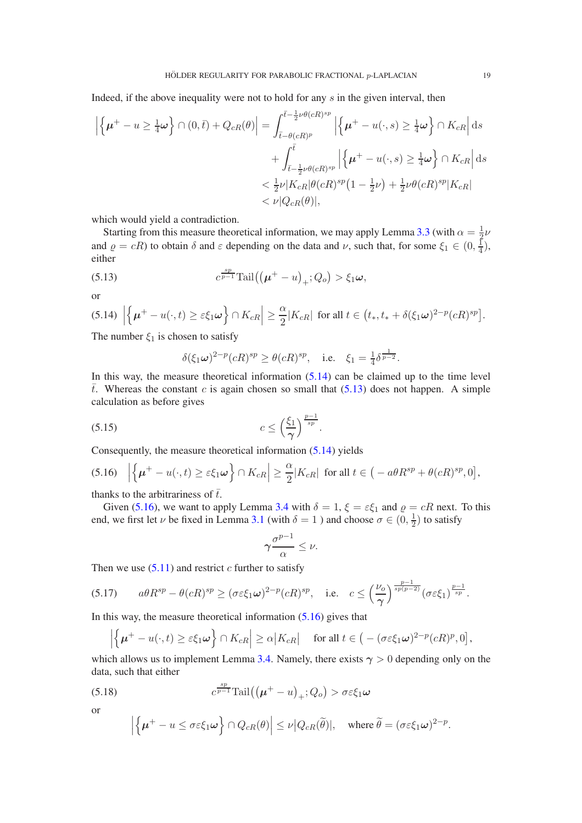Indeed, if the above inequality were not to hold for any  $s$  in the given interval, then

$$
\left| \left\{ \mu^+ - u \ge \frac{1}{4} \omega \right\} \cap (0, \bar{t}) + Q_{cR}(\theta) \right| = \int_{\bar{t} - \theta(cR)^p}^{\bar{t} - \frac{1}{2}\nu\theta(cR)^{sp}} \left| \left\{ \mu^+ - u(\cdot, s) \ge \frac{1}{4} \omega \right\} \cap K_{cR} \right| ds
$$
  
+ 
$$
\int_{\bar{t} - \frac{1}{2}\nu\theta(cR)^{sp}}^{\bar{t}} \left| \left\{ \mu^+ - u(\cdot, s) \ge \frac{1}{4} \omega \right\} \cap K_{cR} \right| ds
$$
  
< 
$$
< \frac{1}{2}\nu |K_{cR}|\theta(cR)^{sp} \left(1 - \frac{1}{2}\nu\right) + \frac{1}{2}\nu\theta(cR)^{sp} |K_{cR}|
$$
  
<  $\nu |Q_{cR}(\theta)|$ ,

which would yield a contradiction.

Starting from this measure theoretical information, we may apply Lemma [3.3](#page-10-0) (with  $\alpha = \frac{1}{2}$ )  $rac{1}{2}\nu$ and  $\varrho = cR$ ) to obtain  $\delta$  and  $\varepsilon$  depending on the data and  $\nu$ , such that, for some  $\xi_1 \in (0, \frac{1}{4})$  $\frac{1}{4}),$ either

(5.13) 
$$
c^{\frac{sp}{p-1}} \text{Tail}((\mu^+ - u)_+; Q_o) > \xi_1 \omega,
$$

or

<span id="page-18-0"></span>
$$
(5.14) \left| \left\{ \mu^+ - u(\cdot, t) \ge \varepsilon \xi_1 \omega \right\} \cap K_{cR} \right| \ge \frac{\alpha}{2} |K_{cR}| \text{ for all } t \in \left( t_*, t_* + \delta(\xi_1 \omega)^{2-p} (cR)^{sp} \right].
$$

The number  $\xi_1$  is chosen to satisfy

<span id="page-18-1"></span>
$$
\delta(\xi_1\omega)^{2-p}(cR)^{sp} \ge \theta(cR)^{sp}, \quad \text{i.e.} \quad \xi_1 = \frac{1}{4}\delta^{\frac{1}{p-2}}.
$$

In this way, the measure theoretical information  $(5.14)$  can be claimed up to the time level  $\bar{t}$ . Whereas the constant c is again chosen so small that [\(5.13\)](#page-18-1) does not happen. A simple calculation as before gives

<span id="page-18-4"></span>.

$$
(5.15) \t\t c \le \left(\frac{\xi_1}{\gamma}\right)^{\frac{p-1}{sp}}
$$

Consequently, the measure theoretical information [\(5.14\)](#page-18-0) yields

<span id="page-18-2"></span>
$$
(5.16) \quad \left| \left\{ \mu^+ - u(\cdot, t) \ge \varepsilon \xi_1 \omega \right\} \cap K_{cR} \right| \ge \frac{\alpha}{2} |K_{cR}| \text{ for all } t \in \left( -a\theta R^{sp} + \theta(cR)^{sp}, 0 \right],
$$

thanks to the arbitrariness of  $\bar{t}$ .

Given [\(5.16\)](#page-18-2), we want to apply Lemma [3.4](#page-11-0) with  $\delta = 1$ ,  $\xi = \varepsilon \xi_1$  and  $\rho = cR$  next. To this end, we first let  $\nu$  be fixed in Lemma [3.1](#page-6-1) (with  $\delta = 1$  ) and choose  $\sigma \in (0, \frac{1}{2})$  $\frac{1}{2}$ ) to satisfy

$$
\gamma \frac{\sigma^{p-1}}{\alpha} \leq \nu.
$$

Then we use  $(5.11)$  and restrict c further to satisfy

<span id="page-18-5"></span>
$$
(5.17) \qquad a\theta R^{sp} - \theta(cR)^{sp} \ge (\sigma \varepsilon \xi_1 \omega)^{2-p} (cR)^{sp}, \quad \text{i.e.} \quad c \le \left(\frac{\nu_o}{\gamma}\right)^{\frac{p-1}{sp(p-2)}} (\sigma \varepsilon \xi_1)^{\frac{p-1}{sp}}.
$$

In this way, the measure theoretical information  $(5.16)$  gives that

<span id="page-18-3"></span>o

$$
\left|\left\{\boldsymbol{\mu}^+ - u(\cdot,t) \ge \varepsilon \xi_1 \boldsymbol{\omega}\right\} \cap K_{cR}\right| \ge \alpha |K_{cR}| \quad \text{ for all } t \in \left(-(\sigma \varepsilon \xi_1 \boldsymbol{\omega})^{2-p} (cR)^p, 0\right],
$$

which allows us to implement Lemma [3.4.](#page-11-0) Namely, there exists  $\gamma > 0$  depending only on the data, such that either

(5.18) 
$$
c^{\frac{sp}{p-1}} \text{Tail}((\mu^+ - u)_+; Q_o) > \sigma \varepsilon \xi_1 \omega
$$

or

$$
\left|\left\{\boldsymbol{\mu}^+ - u \leq \sigma \varepsilon \xi_1 \boldsymbol{\omega}\right\}\cap Q_{cR}(\theta)\right| \leq \nu \left|Q_{cR}(\widetilde{\theta})\right|, \quad \text{where } \widetilde{\theta} = (\sigma \varepsilon \xi_1 \boldsymbol{\omega})^{2-p}.
$$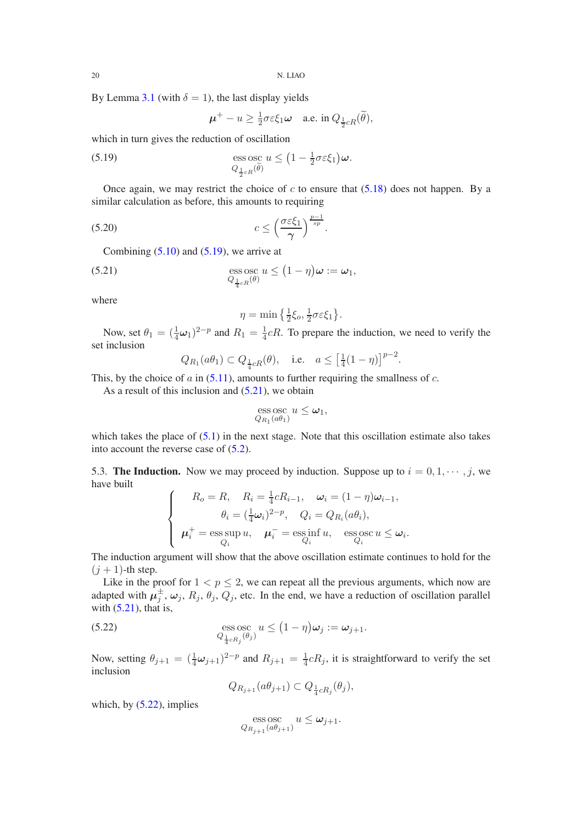By Lemma [3.1](#page-6-1) (with  $\delta = 1$ ), the last display yields

<span id="page-19-0"></span>
$$
\boldsymbol{\mu}^+ - u \ge \frac{1}{2}\sigma \varepsilon \xi_1 \boldsymbol{\omega} \quad \text{a.e. in } Q_{\frac{1}{2}cR}(\widetilde{\theta}),
$$

which in turn gives the reduction of oscillation

(5.19) 
$$
\operatorname{ess} \operatorname{osc}_{Q_{\frac{1}{2}cR}(\widetilde{\theta})} u \leq \left(1 - \frac{1}{2}\sigma \varepsilon \xi_1\right) \omega.
$$

Once again, we may restrict the choice of c to ensure that  $(5.18)$  does not happen. By a similar calculation as before, this amounts to requiring

$$
(5.20) \t\t c \le \left(\frac{\sigma \varepsilon \xi_1}{\gamma}\right)^{\frac{p-1}{sp}}.
$$

Combining  $(5.10)$  and  $(5.19)$ , we arrive at

(5.21) 
$$
\underset{Q_{\frac{1}{4}cR}(\theta)}{\mathrm{ess}\, \mathrm{osc}} u \leq (1-\eta)\omega := \omega_1,
$$

where

<span id="page-19-3"></span><span id="page-19-1"></span>
$$
\eta = \min\left\{\frac{1}{2}\xi_o, \frac{1}{2}\sigma \varepsilon \xi_1\right\}.
$$

Now, set  $\theta_1 = (\frac{1}{4}\omega_1)^{2-p}$  and  $R_1 = \frac{1}{4}cR$ . To prepare the induction, we need to verify the set inclusion

$$
Q_{R_1}(a\theta_1) \subset Q_{\frac{1}{4}cR}(\theta)
$$
, i.e.  $a \leq \left[\frac{1}{4}(1-\eta)\right]^{p-2}$ .

This, by the choice of  $a$  in [\(5.11\)](#page-17-0), amounts to further requiring the smallness of  $c$ .

As a result of this inclusion and  $(5.21)$ , we obtain

$$
\operatorname*{ess\,osc}_{Q_{R_1}(a\theta_1)} u \leq \omega_1,
$$

which takes the place of  $(5.1)$  in the next stage. Note that this oscillation estimate also takes into account the reverse case of [\(5.2\)](#page-16-5).

5.3. The Induction. Now we may proceed by induction. Suppose up to  $i = 0, 1, \dots, j$ , we have built

$$
\begin{cases}\nR_o = R, & R_i = \frac{1}{4}cR_{i-1}, & \omega_i = (1 - \eta)\omega_{i-1}, \\
\theta_i = (\frac{1}{4}\omega_i)^{2-p}, & Q_i = Q_{R_i}(a\theta_i), \\
\mu_i^+ = \operatorname*{ess\,sup}_{Q_i} u, & \mu_i^- = \operatorname*{ess\,inf}_{Q_i} u, & \operatorname*{ess\,os\,sup}_{Q_i} u \le \omega_i.\n\end{cases}
$$

The induction argument will show that the above oscillation estimate continues to hold for the  $(j + 1)$ -th step.

Like in the proof for  $1 < p \le 2$ , we can repeat all the previous arguments, which now are adapted with  $\mu_j^{\pm}$ ,  $\omega_j$ ,  $R_j$ ,  $\theta_j$ ,  $Q_j$ , etc. In the end, we have a reduction of oscillation parallel with  $(5.21)$ , that is,

(5.22) 
$$
\underset{Q_{\frac{1}{4}cR_j}(\theta_j)}{\operatorname{ess}\operatorname{osc}} u \leq (1-\eta)\omega_j := \omega_{j+1}.
$$

Now, setting  $\theta_{j+1} = (\frac{1}{4}\omega_{j+1})^{2-p}$  and  $R_{j+1} = \frac{1}{4}$  $\frac{1}{4}cR_j$ , it is straightforward to verify the set inclusion

<span id="page-19-2"></span>
$$
Q_{R_{j+1}}(a\theta_{j+1}) \subset Q_{\frac{1}{4}cR_j}(\theta_j),
$$

which, by  $(5.22)$ , implies

$$
\operatorname*{ess\,osc}_{Q_{R_{j+1}}(a\theta_{j+1})}u\leq \omega_{j+1}.
$$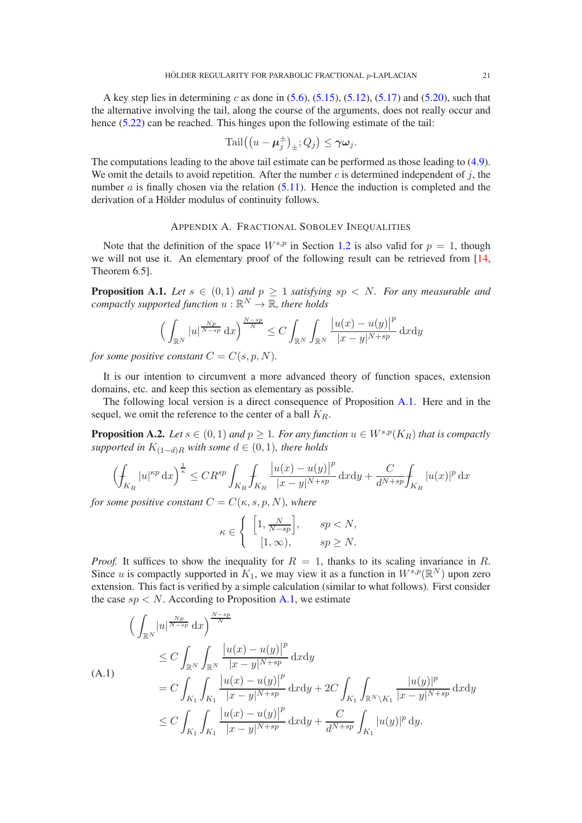A key step lies in determining c as done in  $(5.6)$ ,  $(5.15)$ ,  $(5.12)$ ,  $(5.17)$  and  $(5.20)$ , such that the alternative involving the tail, along the course of the arguments, does not really occur and hence [\(5.22\)](#page-19-2) can be reached. This hinges upon the following estimate of the tail:

$$
\mathrm{Tail}((u-\boldsymbol{\mu}_j^{\pm})_{\pm};Q_j) \leq \gamma \boldsymbol{\omega}_j.
$$

The computations leading to the above tail estimate can be performed as those leading to [\(4.9\)](#page-15-1). We omit the details to avoid repetition. After the number c is determined independent of  $j$ , the number  $\alpha$  is finally chosen via the relation  $(5.11)$ . Hence the induction is completed and the derivation of a Hölder modulus of continuity follows.

### APPENDIX A. FRACTIONAL SOBOLEV INEQUALITIES

<span id="page-20-0"></span>Note that the definition of the space  $W^{s,p}$  in Section [1.2](#page-2-0) is also valid for  $p = 1$ , though we will not use it. An elementary proof of the following result can be retrieved from [\[14,](#page-25-0) Theorem 6.5].

<span id="page-20-1"></span>**Proposition A.1.** Let  $s \in (0,1)$  and  $p \ge 1$  satisfying  $sp \lt N$ . For any measurable and compactly supported function  $u:\mathbb{R}^N\to\mathbb{R}$ , there holds

$$
\left(\int_{\mathbb{R}^N} |u|^{\frac{Np}{N-sp}} \, \mathrm{d}x\right)^{\frac{N-sp}{N}} \le C \int_{\mathbb{R}^N} \int_{\mathbb{R}^N} \frac{|u(x)-u(y)|^p}{|x-y|^{N+sp}} \, \mathrm{d}x \mathrm{d}y
$$

*for some positive constant*  $C = C(s, p, N)$ *.* 

It is our intention to circumvent a more advanced theory of function spaces, extension domains, etc. and keep this section as elementary as possible.

The following local version is a direct consequence of Proposition [A.1.](#page-20-1) Here and in the sequel, we omit the reference to the center of a ball  $K_R$ .

<span id="page-20-3"></span>**Proposition A.2.** *Let*  $s \in (0,1)$  *and*  $p \ge 1$ *. For any function*  $u \in W^{s,p}(K_R)$  *that is compactly supported in*  $K_{(1-d)R}$  *with some*  $d \in (0,1)$ *, there holds* 

$$
\left(\int_{K_R} |u|^{\kappa p} \,\mathrm{d} x\right)^{\frac{1}{\kappa}} \leq CR^{sp} \int_{K_R} \int_{K_R} \frac{\left|u(x) - u(y)\right|^p}{|x - y|^{N + sp}} \,\mathrm{d} x \mathrm{d} y + \frac{C}{d^{N + sp}} \int_{K_R} |u(x)|^p \,\mathrm{d} x
$$

*for some positive constant*  $C = C(\kappa, s, p, N)$ *, where* 

$$
\kappa \in \left\{ \begin{array}{cc} \left[1, \frac{N}{N-sp}\right], & sp < N, \\ \left[1, \infty\right), & sp \ge N. \end{array} \right.
$$

*Proof.* It suffices to show the inequality for  $R = 1$ , thanks to its scaling invariance in R. Since u is compactly supported in  $K_1$ , we may view it as a function in  $W^{s,p}(\mathbb{R}^N)$  upon zero extension. This fact is verified by a simple calculation (similar to what follows). First consider the case  $sp < N$ . According to Proposition [A.1,](#page-20-1) we estimate

<span id="page-20-2"></span>
$$
\left(\int_{\mathbb{R}^N} |u|^{\frac{Np}{N-sp}} dx\right)^{\frac{N-sp}{N}} \leq C \int_{\mathbb{R}^N} \int_{\mathbb{R}^N} \frac{|u(x) - u(y)|^p}{|x - y|^{N+sp}} dx dy
$$
\n(A.1)\n
$$
= C \int_{K_1} \int_{K_1} \frac{|u(x) - u(y)|^p}{|x - y|^{N+sp}} dx dy + 2C \int_{K_1} \int_{\mathbb{R}^N \setminus K_1} \frac{|u(y)|^p}{|x - y|^{N+sp}} dx dy
$$
\n
$$
\leq C \int_{K_1} \int_{K_1} \frac{|u(x) - u(y)|^p}{|x - y|^{N+sp}} dx dy + \frac{C}{d^{N+sp}} \int_{K_1} |u(y)|^p dy.
$$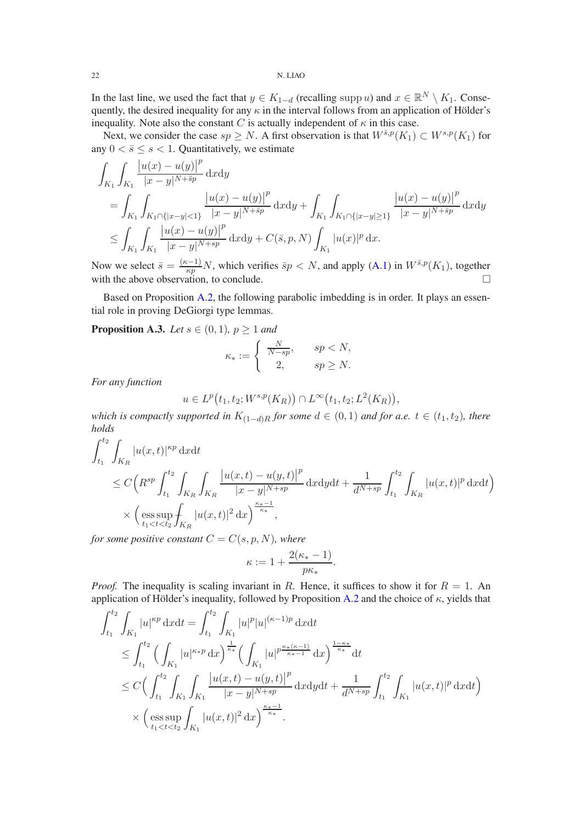In the last line, we used the fact that  $y \in K_{1-d}$  (recalling supp u) and  $x \in \mathbb{R}^N \setminus K_1$ . Consequently, the desired inequality for any  $\kappa$  in the interval follows from an application of Hölder's inequality. Note also the constant C is actually independent of  $\kappa$  in this case.

Next, we consider the case  $sp \geq N$ . A first observation is that  $W^{\bar{s},p}(K_1) \subset W^{s,p}(K_1)$  for any  $0 < \bar{s} \leq s < 1$ . Quantitatively, we estimate

$$
\int_{K_1} \int_{K_1} \frac{|u(x) - u(y)|^p}{|x - y|^{N + \tilde{s}p}} dxdy
$$
\n
$$
= \int_{K_1} \int_{K_1 \cap \{|x - y| < 1\}} \frac{|u(x) - u(y)|^p}{|x - y|^{N + \tilde{s}p}} dxdy + \int_{K_1} \int_{K_1 \cap \{|x - y| \ge 1\}} \frac{|u(x) - u(y)|^p}{|x - y|^{N + \tilde{s}p}} dxdy
$$
\n
$$
\leq \int_{K_1} \int_{K_1} \frac{|u(x) - u(y)|^p}{|x - y|^{N + s p}} dxdy + C(\bar{s}, p, N) \int_{K_1} |u(x)|^p dx.
$$

Now we select  $\bar{s} = \frac{(\kappa - 1)}{\kappa n}$  $\frac{(n-1)}{k p} N$ , which verifies  $\bar{s}p < N$ , and apply [\(A.1\)](#page-20-2) in  $W^{\bar{s},p}(K_1)$ , together with the above observation, to conclude.  $\Box$ 

Based on Proposition [A.2,](#page-20-3) the following parabolic imbedding is in order. It plays an essential role in proving DeGiorgi type lemmas.

<span id="page-21-0"></span>**Proposition A.3.** *Let*  $s \in (0,1)$ *,*  $p \ge 1$  *and* 

$$
\kappa_* := \begin{cases} \frac{N}{N - sp}, & sp < N, \\ 2, & sp \ge N. \end{cases}
$$

*For any function*

$$
u \in L^p(t_1, t_2; W^{s,p}(K_R)) \cap L^{\infty}(t_1, t_2; L^2(K_R)),
$$

*which is compactly supported in*  $K_{(1-d)R}$  *for some*  $d \in (0,1)$  *and for a.e.*  $t \in (t_1, t_2)$ *, there holds*

$$
\int_{t_1}^{t_2} \int_{K_R} |u(x,t)|^{\kappa p} \, \mathrm{d}x \mathrm{d}t \n\leq C \Big( R^{sp} \int_{t_1}^{t_2} \int_{K_R} \int_{K_R} \frac{|u(x,t) - u(y,t)|^p}{|x - y|^{N + sp}} \, \mathrm{d}x \mathrm{d}y \mathrm{d}t + \frac{1}{d^{N + sp}} \int_{t_1}^{t_2} \int_{K_R} |u(x,t)|^p \, \mathrm{d}x \mathrm{d}t \Big) \n\times \Big( \underset{t_1 < t < t_2}{\text{ess sup}} \int_{K_R} |u(x,t)|^2 \, \mathrm{d}x \Big)^{\frac{\kappa_* - 1}{\kappa_*}},
$$

*for some positive constant*  $C = C(s, p, N)$ *, where* 

$$
\kappa := 1 + \frac{2(\kappa_* - 1)}{p\kappa_*}.
$$

*Proof.* The inequality is scaling invariant in R. Hence, it suffices to show it for  $R = 1$ . An application of Hölder's inequality, followed by Proposition [A.2](#page-20-3) and the choice of  $\kappa$ , yields that

$$
\int_{t_1}^{t_2} \int_{K_1} |u|^{\kappa p} \, \mathrm{d}x \mathrm{d}t = \int_{t_1}^{t_2} \int_{K_1} |u|^p |u|^{(\kappa - 1)p} \, \mathrm{d}x \mathrm{d}t
$$
\n
$$
\leq \int_{t_1}^{t_2} \Big( \int_{K_1} |u|^{\kappa \ast p} \, \mathrm{d}x \Big)^{\frac{1}{\kappa \ast}} \Big( \int_{K_1} |u|^{p \frac{\kappa \ast (\kappa - 1)}{\kappa \ast - 1}} \, \mathrm{d}x \Big)^{\frac{1 - \kappa \ast}{\kappa \ast}} \mathrm{d}t
$$
\n
$$
\leq C \Big( \int_{t_1}^{t_2} \int_{K_1} \int_{K_1} \frac{|u(x, t) - u(y, t)|^p}{|x - y|^{N + sp}} \, \mathrm{d}x \mathrm{d}y \mathrm{d}t + \frac{1}{d^{N + sp}} \int_{t_1}^{t_2} \int_{K_1} |u(x, t)|^p \, \mathrm{d}x \mathrm{d}t \Big)
$$
\n
$$
\times \Big( \operatorname*{ess} \sup_{t_1 < t < t_2} \int_{K_1} |u(x, t)|^2 \, \mathrm{d}x \Big)^{\frac{\kappa \ast - 1}{\kappa \ast}}.
$$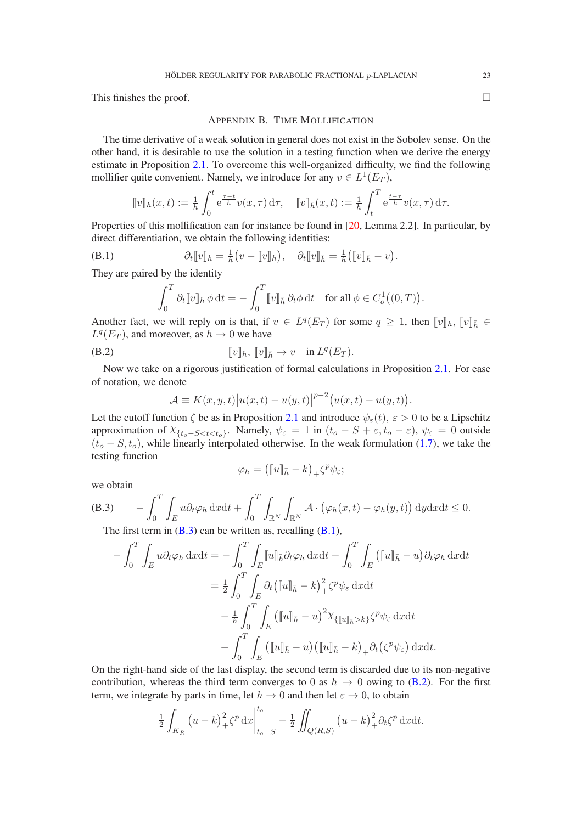<span id="page-22-0"></span>This finishes the proof.  $\Box$ 

# APPENDIX B. TIME MOLLIFICATION

The time derivative of a weak solution in general does not exist in the Sobolev sense. On the other hand, it is desirable to use the solution in a testing function when we derive the energy estimate in Proposition [2.1.](#page-3-1) To overcome this well-organized difficulty, we find the following mollifier quite convenient. Namely, we introduce for any  $v \in L^1(E_T)$ ,

$$
[\![v]\!]_h(x,t) := \frac{1}{h} \int_0^t e^{\frac{\tau - t}{h}} v(x,\tau) d\tau, \quad [\![v]\!]_{\bar{h}}(x,t) := \frac{1}{h} \int_t^T e^{\frac{t - \tau}{h}} v(x,\tau) d\tau.
$$

Properties of this mollification can for instance be found in [\[20,](#page-25-16) Lemma 2.2]. In particular, by direct differentiation, we obtain the following identities:

(B.1) 
$$
\partial_t [v]_h = \frac{1}{h} (v - [v]_h), \quad \partial_t [v]_h = \frac{1}{h} ([v]_h - v).
$$

They are paired by the identity

<span id="page-22-2"></span>
$$
\int_0^T \partial_t \llbracket v \rrbracket_h \, \phi \, \mathrm{d}t = -\int_0^T \llbracket v \rrbracket_{\bar{h}} \, \partial_t \phi \, \mathrm{d}t \quad \text{for all } \phi \in C^1_o((0,T))
$$

Another fact, we will reply on is that, if  $v \in L^q(E_T)$  for some  $q \geq 1$ , then  $[[v]]_h$ ,  $[[v]]_h \in$  $L^q(E_T)$ , and moreover, as  $h \to 0$  we have

$$
[v]_h, [v]_{\bar{h}} \to v \quad \text{in } L^q(E_T).
$$

Now we take on a rigorous justification of formal calculations in Proposition [2.1.](#page-3-1) For ease of notation, we denote

<span id="page-22-3"></span>
$$
\mathcal{A} \equiv K(x, y, t) |u(x, t) - u(y, t)|^{p-2} (u(x, t) - u(y, t)).
$$

Let the cutoff function  $\zeta$  be as in Proposition [2.1](#page-3-1) and introduce  $\psi_{\varepsilon}(t), \varepsilon > 0$  to be a Lipschitz approximation of  $\chi_{\{t_o-S. Namely,  $\psi_{\varepsilon}=1$  in  $(t_o-S+\varepsilon,t_o-\varepsilon)$ ,  $\psi_{\varepsilon}=0$  outside$  $(t_o - S, t_o)$ , while linearly interpolated otherwise. In the weak formulation [\(1.7\)](#page-2-3), we take the testing function

$$
\varphi_h = \left( [\![u]\!]_{\bar{h}} - k \right)_+ \zeta^p \psi_{\varepsilon};
$$

we obtain

(B.3) 
$$
- \int_0^T \int_E u \partial_t \varphi_h \, dxdt + \int_0^T \int_{\mathbb{R}^N} \int_{\mathbb{R}^N} \mathcal{A} \cdot (\varphi_h(x,t) - \varphi_h(y,t)) \, dydxdt \leq 0.
$$

<span id="page-22-1"></span>The first term in  $(B.3)$  can be written as, recalling  $(B.1)$ ,

$$
-\int_0^T \int_E u \partial_t \varphi_h \, \mathrm{d}x \mathrm{d}t = -\int_0^T \int_E [u]_{\bar{h}} \partial_t \varphi_h \, \mathrm{d}x \mathrm{d}t + \int_0^T \int_E \left( [u]_{\bar{h}} - u \right) \partial_t \varphi_h \, \mathrm{d}x \mathrm{d}t
$$

$$
= \frac{1}{2} \int_0^T \int_E \partial_t \left( [u]_{\bar{h}} - k \right)_+^2 \zeta^p \psi_\varepsilon \, \mathrm{d}x \mathrm{d}t
$$

$$
+ \frac{1}{\hbar} \int_0^T \int_E \left( [u]_{\bar{h}} - u \right)^2 \chi_{\{ [u]_{\bar{h}} > k \}} \zeta^p \psi_\varepsilon \, \mathrm{d}x \mathrm{d}t
$$

$$
+ \int_0^T \int_E \left( [u]_{\bar{h}} - u \right) \left( [u]_{\bar{h}} - k \right)_+ \partial_t \left( \zeta^p \psi_\varepsilon \right) \mathrm{d}x \mathrm{d}t.
$$

On the right-hand side of the last display, the second term is discarded due to its non-negative contribution, whereas the third term converges to 0 as  $h \to 0$  owing to [\(B.2\)](#page-22-3). For the first term, we integrate by parts in time, let  $h \to 0$  and then let  $\varepsilon \to 0$ , to obtain

$$
\frac{1}{2} \int_{K_R} \left( u - k \right)_+^2 \zeta^p \, dx \bigg|_{t_o - S}^{t_o} - \frac{1}{2} \iint_{Q(R,S)} \left( u - k \right)_+^2 \partial_t \zeta^p \, dx dt.
$$

.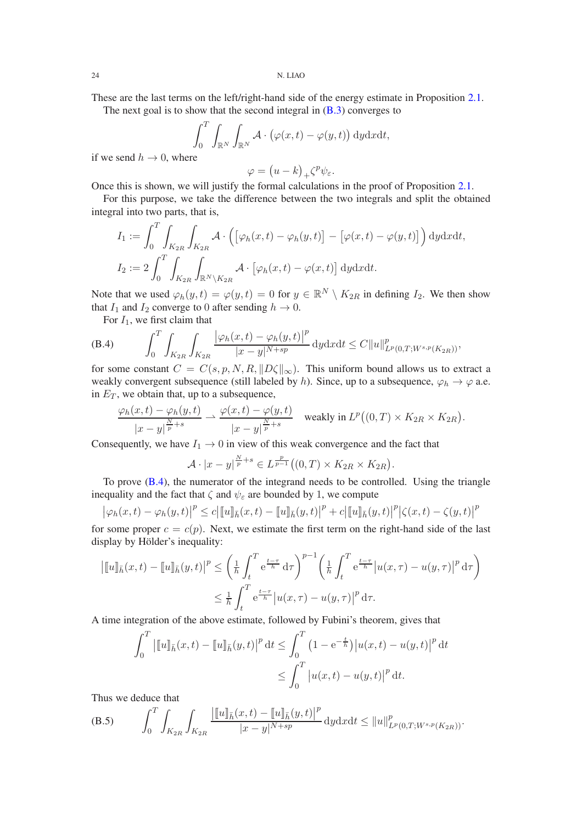These are the last terms on the left/right-hand side of the energy estimate in Proposition [2.1.](#page-3-1)

The next goal is to show that the second integral in  $(B.3)$  converges to

$$
\int_0^T \int_{\mathbb{R}^N} \int_{\mathbb{R}^N} \mathcal{A} \cdot (\varphi(x,t) - \varphi(y,t)) \, dy \, dx \, dt,
$$

if we send  $h \to 0$ , where

$$
\varphi = (u - k)_{+} \zeta^{p} \psi_{\varepsilon}.
$$

Once this is shown, we will justify the formal calculations in the proof of Proposition [2.1.](#page-3-1)

For this purpose, we take the difference between the two integrals and split the obtained integral into two parts, that is,

$$
I_1 := \int_0^T \int_{K_{2R}} \int_{K_{2R}} \mathcal{A} \cdot \left( \left[ \varphi_h(x, t) - \varphi_h(y, t) \right] - \left[ \varphi(x, t) - \varphi(y, t) \right] \right) dy dx dt,
$$
  
\n
$$
I_2 := 2 \int_0^T \int_{K_{2R}} \int_{\mathbb{R}^N \setminus K_{2R}} \mathcal{A} \cdot \left[ \varphi_h(x, t) - \varphi(x, t) \right] dy dx dt.
$$

Note that we used  $\varphi_h(y, t) = \varphi(y, t) = 0$  for  $y \in \mathbb{R}^N \setminus K_{2R}$  in defining  $I_2$ . We then show that  $I_1$  and  $I_2$  converge to 0 after sending  $h \to 0$ .

<span id="page-23-0"></span>For  $I_1$ , we first claim that

(B.4) 
$$
\int_0^T \int_{K_{2R}} \int_{K_{2R}} \frac{|\varphi_h(x,t) - \varphi_h(y,t)|^p}{|x - y|^{N + sp}} dy dx dt \leq C ||u||^p_{L^p(0,T;W^{s,p}(K_{2R}))},
$$

for some constant  $C = C(s, p, N, R, ||D\zeta||_{\infty})$ . This uniform bound allows us to extract a weakly convergent subsequence (still labeled by h). Since, up to a subsequence,  $\varphi_h \to \varphi$  a.e. in  $E_T$ , we obtain that, up to a subsequence,

$$
\frac{\varphi_h(x,t) - \varphi_h(y,t)}{|x - y|^{\frac{N}{p} + s}} \rightharpoonup \frac{\varphi(x,t) - \varphi(y,t)}{|x - y|^{\frac{N}{p} + s}} \quad \text{weakly in } L^p((0,T) \times K_{2R} \times K_{2R}).
$$

Consequently, we have  $I_1 \rightarrow 0$  in view of this weak convergence and the fact that

$$
\mathcal{A} \cdot |x-y|^{\frac{N}{p}+s} \in L^{\frac{p}{p-1}}((0,T) \times K_{2R} \times K_{2R}).
$$

To prove [\(B.4\)](#page-23-0), the numerator of the integrand needs to be controlled. Using the triangle inequality and the fact that  $\zeta$  and  $\psi_{\varepsilon}$  are bounded by 1, we compute

$$
\left|\varphi_h(x,t) - \varphi_h(y,t)\right|^p \le c \left|\llbracket u \rrbracket_{\bar{h}}(x,t) - \llbracket u \rrbracket_{\bar{h}}(y,t)\right|^p + c \left|\llbracket u \rrbracket_{\bar{h}}(y,t)\right|^p \left|\zeta(x,t) - \zeta(y,t)\right|^p
$$

for some proper  $c = c(p)$ . Next, we estimate the first term on the right-hand side of the last display by Hölder's inequality:

$$
\begin{aligned} \left| \llbracket u \rrbracket_{\bar{h}}(x,t) - \llbracket u \rrbracket_{\bar{h}}(y,t) \right|^p &\leq \left( \frac{1}{\hbar} \int_t^T e^{\frac{t-\tau}{\hbar}} d\tau \right)^{p-1} \left( \frac{1}{\hbar} \int_t^T e^{\frac{t-\tau}{\hbar}} |u(x,\tau) - u(y,\tau)|^p d\tau \right) \\ &\leq \frac{1}{\hbar} \int_t^T e^{\frac{t-\tau}{\hbar}} |u(x,\tau) - u(y,\tau)|^p d\tau. \end{aligned}
$$

A time integration of the above estimate, followed by Fubini's theorem, gives that

$$
\int_0^T \left| [u]_{\bar{h}}(x,t) - [u]_{\bar{h}}(y,t) \right|^p dt \le \int_0^T \left( 1 - e^{-\frac{t}{h}} \right) |u(x,t) - u(y,t)|^p dt
$$
  

$$
\le \int_0^T |u(x,t) - u(y,t)|^p dt.
$$

Thus we deduce that

<span id="page-23-1"></span>(B.5) 
$$
\int_0^T \int_{K_{2R}} \int_{K_{2R}} \frac{\left| [[u]]_{\bar{h}}(x,t) - [[u]]_{\bar{h}}(y,t) \right|^p}{|x-y|^{N+sp}} dy dx dt \leq ||u||^p_{L^p(0,T;W^{s,p}(K_{2R}))}.
$$

$$
24\quad
$$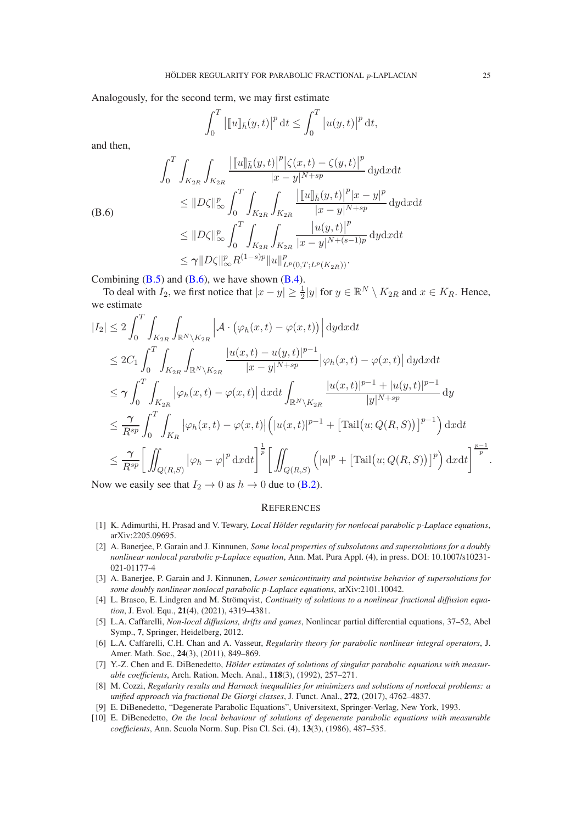Analogously, for the second term, we may first estimate

$$
\int_0^T \left| [u]_{\bar{h}}(y,t) \right|^p dt \le \int_0^T |u(y,t)|^p dt,
$$

and then,

<span id="page-24-10"></span>
$$
\int_{0}^{T} \int_{K_{2R}} \int_{K_{2R}} \frac{\left| \left[ u \right]_{\bar{h}}(y,t) \right|^{p} \left| \zeta(x,t) - \zeta(y,t) \right|^{p}}{|x - y|^{N + sp}} \, \mathrm{d}y \mathrm{d}x \mathrm{d}t
$$
\n
$$
\leq \|D\zeta\|_{\infty}^{p} \int_{0}^{T} \int_{K_{2R}} \int_{K_{2R}} \frac{\left| \left[ u \right]_{\bar{h}}(y,t) \right|^{p} |x - y|^{p}}{|x - y|^{N + sp}} \, \mathrm{d}y \mathrm{d}x \mathrm{d}t
$$
\n
$$
\leq \|D\zeta\|_{\infty}^{p} \int_{0}^{T} \int_{K_{2R}} \int_{K_{2R}} \frac{\left| u(y,t) \right|^{p}}{|x - y|^{N + (s - 1)p}} \, \mathrm{d}y \mathrm{d}x \mathrm{d}t
$$
\n
$$
\leq \gamma \|D\zeta\|_{\infty}^{p} R^{(1 - s)p} \|u\|_{L^{p}(0,T;L^{p}(K_{2R}))}^{p}.
$$

Combining  $(B.5)$  and  $(B.6)$ , we have shown  $(B.4)$ .

To deal with  $I_2$ , we first notice that  $|x-y| \ge \frac{1}{2}|y|$  for  $y \in \mathbb{R}^N \setminus K_{2R}$  and  $x \in K_R$ . Hence, we estimate

$$
\begin{split}\n|I_{2}| &\leq 2 \int_{0}^{T} \int_{K_{2R}} \int_{\mathbb{R}^{N} \backslash K_{2R}} \left| \mathcal{A} \cdot (\varphi_{h}(x,t) - \varphi(x,t)) \right| \mathrm{d}y \mathrm{d}x \mathrm{d}t \\
&\leq 2C_{1} \int_{0}^{T} \int_{K_{2R}} \int_{\mathbb{R}^{N} \backslash K_{2R}} \frac{|u(x,t) - u(y,t)|^{p-1}}{|x - y|^{N + sp}} \left| \varphi_{h}(x,t) - \varphi(x,t) \right| \mathrm{d}y \mathrm{d}x \mathrm{d}t \\
&\leq \gamma \int_{0}^{T} \int_{K_{2R}} \left| \varphi_{h}(x,t) - \varphi(x,t) \right| \mathrm{d}x \mathrm{d}t \int_{\mathbb{R}^{N} \backslash K_{2R}} \frac{|u(x,t)|^{p-1} + |u(y,t)|^{p-1}}{|y|^{N + sp}} \mathrm{d}y \\
&\leq \frac{\gamma}{R^{sp}} \int_{0}^{T} \int_{K_{R}} \left| \varphi_{h}(x,t) - \varphi(x,t) \right| \left( |u(x,t)|^{p-1} + \left[ \mathrm{Tail}(u;Q(R,S)) \right]^{p-1} \right) \mathrm{d}x \mathrm{d}t \\
&\leq \frac{\gamma}{R^{sp}} \left[ \iint_{Q(R,S)} \left| \varphi_{h} - \varphi \right|^{p} \mathrm{d}x \mathrm{d}t \right]^{\frac{1}{p}} \left[ \iint_{Q(R,S)} \left( |u|^{p} + \left[ \mathrm{Tail}(u;Q(R,S)) \right]^{p} \right) \mathrm{d}x \mathrm{d}t \right]^{\frac{p-1}{p}}.\n\end{split}
$$

Now we easily see that  $I_2 \rightarrow 0$  as  $h \rightarrow 0$  due to [\(B.2\)](#page-22-3).

### **REFERENCES**

- <span id="page-24-9"></span><span id="page-24-4"></span>[1] K. Adimurthi, H. Prasad and V. Tewary, *Local Hölder regularity for nonlocal parabolic p-Laplace equations*, arXiv:2205.09695.
- [2] A. Banerjee, P. Garain and J. Kinnunen, *Some local properties of subsolutons and supersolutions for a doubly nonlinear nonlocal parabolic p-Laplace equation*, Ann. Mat. Pura Appl. (4), in press. DOI: 10.1007/s10231- 021-01177-4
- <span id="page-24-5"></span>[3] A. Banerjee, P. Garain and J. Kinnunen, *Lower semicontinuity and pointwise behavior of supersolutions for some doubly nonlinear nonlocal parabolic p-Laplace equations*, arXiv:2101.10042.
- <span id="page-24-0"></span>[4] L. Brasco, E. Lindgren and M. Strömqvist, *Continuity of solutions to a nonlinear fractional diffusion equation*, J. Evol. Equ., 21(4), (2021), 4319–4381.
- <span id="page-24-3"></span>[5] L.A. Caffarelli, *Non-local diffusions, drifts and games*, Nonlinear partial differential equations, 37–52, Abel Symp., 7, Springer, Heidelberg, 2012.
- <span id="page-24-1"></span>[6] L.A. Caffarelli, C.H. Chan and A. Vasseur, *Regularity theory for parabolic nonlinear integral operators*, J. Amer. Math. Soc., 24(3), (2011), 849–869.
- <span id="page-24-6"></span>[7] Y.-Z. Chen and E. DiBenedetto, *Hölder estimates of solutions of singular parabolic equations with measurable coefficients*, Arch. Ration. Mech. Anal., 118(3), (1992), 257–271.
- <span id="page-24-2"></span>[8] M. Cozzi, *Regularity results and Harnack inequalities for minimizers and solutions of nonlocal problems: a unified approach via fractional De Giorgi classes*, J. Funct. Anal., 272, (2017), 4762–4837.
- <span id="page-24-8"></span><span id="page-24-7"></span>[9] E. DiBenedetto, "Degenerate Parabolic Equations", Universitext, Springer-Verlag, New York, 1993.
- [10] E. DiBenedetto, *On the local behaviour of solutions of degenerate parabolic equations with measurable coefficients*, Ann. Scuola Norm. Sup. Pisa Cl. Sci. (4), 13(3), (1986), 487–535.